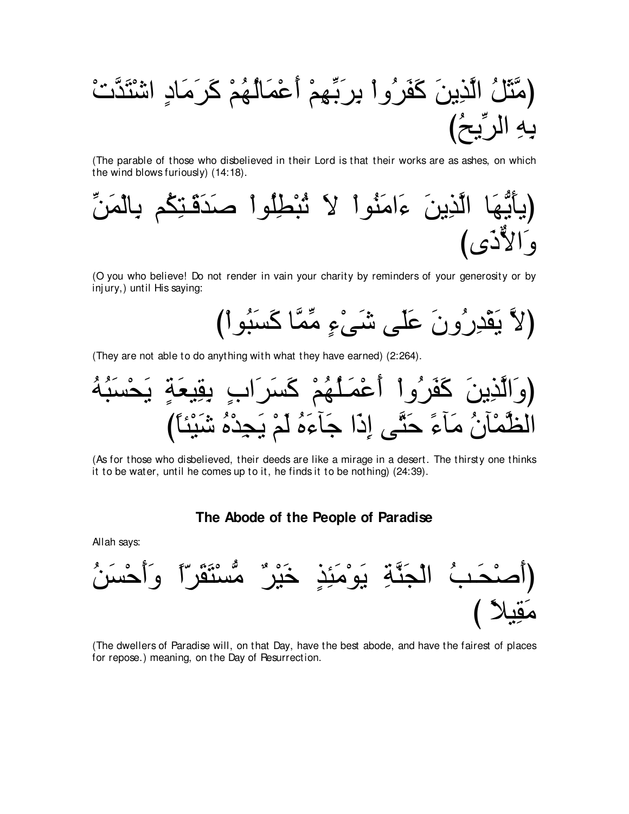(The parable of those who disbelieved in their Lord is that their works are as ashes, on which the wind blows furiously) (14:18).



(O you who believe! Do not render in vain your charity by reminders of your generosity or by injury,) until His saying:

(They are not able to do anything with what they have earned) (2:264).

(وَالَّذِينَ كَفَرُواً أَعُمَلُهُمُ كَسَرَابِ يقِيعَةٍ يَحُسَبُهُ
$$
\frac{1}{2}
$$

(As for those who disbelieved, their deeds are like a mirage in a desert. The thirsty one thinks it to be water, until he comes up to it, he finds it to be nothing) (24:39).

### The Abode of the People of Paradise

Allah says:



(The dwellers of Paradise will, on that Day, have the best abode, and have the fairest of places for repose.) meaning, on the Day of Resurrection.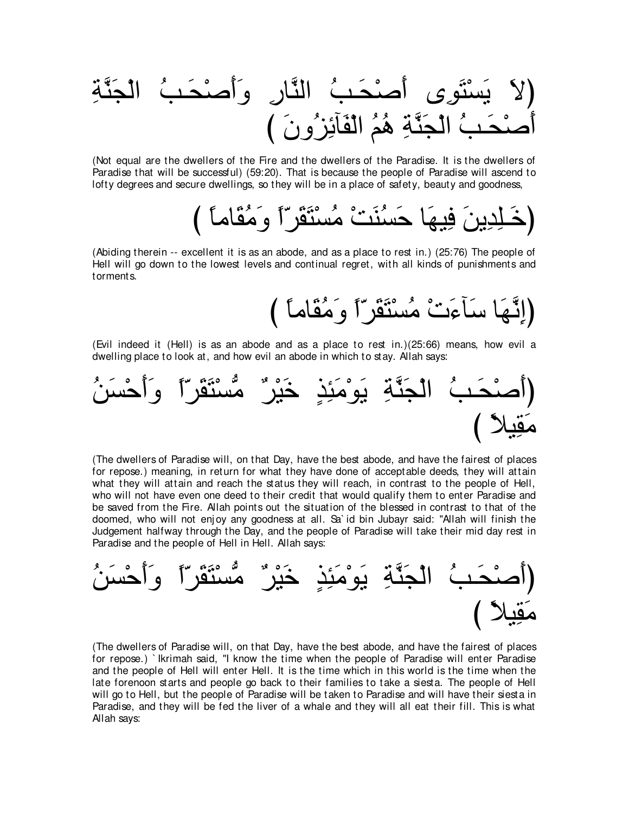⌒るzレ∠イ∇ャや ⊥ょ⇒∠エ∇タ∠ぺ∠ヱ ⌒ケゅzレャや ⊥ょ⇒∠エ∇タ∠ぺ ン⌒ヲ∠わ∇ジ∠Α ∠Ιぴ び ∠ラヱ⊥ゴ⌒もべ∠ヘ∇ャや ⊥ユ⊥ワ ⌒るzレ∠イ∇ャや ⊥ょ⇒∠エ∇タ∠ぺ

(Not equal are the dwellers of the Fire and the dwellers of the Paradise. It is the dwellers of Paradise that will be successful) (59:20). That is because the people of Paradise will ascend to lofty degrees and secure dwellings, so they will be in a place of safety, beauty and goodness,

び ⇔ゅョゅ∠ボ⊥ョ∠ヱ ⇔や∂ゲ∠ボ∠わ∇ジ⊥ョ ∇ろ∠レ⊥ジ∠ェ ゅ∠ヰΒ⌒プ ∠リΑ⌒ギ⌒ヤ⇒∠カぴ

(Abiding therein -- excellent it is as an abode, and as a place to rest in.) (25:76) The people of Hell will go down to the lowest levels and continual regret, with all kinds of punishments and torments.

(إِنَّـهَا سَأَءَتْ مُسْتَقَرِّاً وَ مُقَاماً )

(Evil indeed it (Hell) is as an abode and as a place to rest in.)(25:66) means, how evil a dwelling place to look at, and how evil an abode in which to stay. Allah says:



(The dwellers of Paradise will, on that Day, have the best abode, and have the fairest of places for repose.) meaning, in return for what they have done of acceptable deeds, they will attain what they will attain and reach the status they will reach, in contrast to the people of Hell, who will not have even one deed to their credit that would qualify them to enter Paradise and be saved from the Fire. Allah points out the situation of the blessed in contrast to that of the doomed, who will not enjoy any goodness at all. Sa' id bin Jubayr said: "Allah will finish the Judgement halfway through the Day, and the people of Paradise will take their mid day rest in Paradise and the people of Hell in Hell. Allah says:



(The dwellers of Paradise will, on that Day, have the best abode, and have the fairest of places for repose.) ` Ikrimah said, "I know the time when the people of Paradise will enter Paradise and the people of Hell will enter Hell. It is the time which in this world is the time when the late forenoon starts and people go back to their families to take a siesta. The people of Hell will go to Hell, but the people of Paradise will be taken to Paradise and will have their siesta in Paradise, and they will be fed the liver of a whale and they will all eat their fill. This is what Allah says: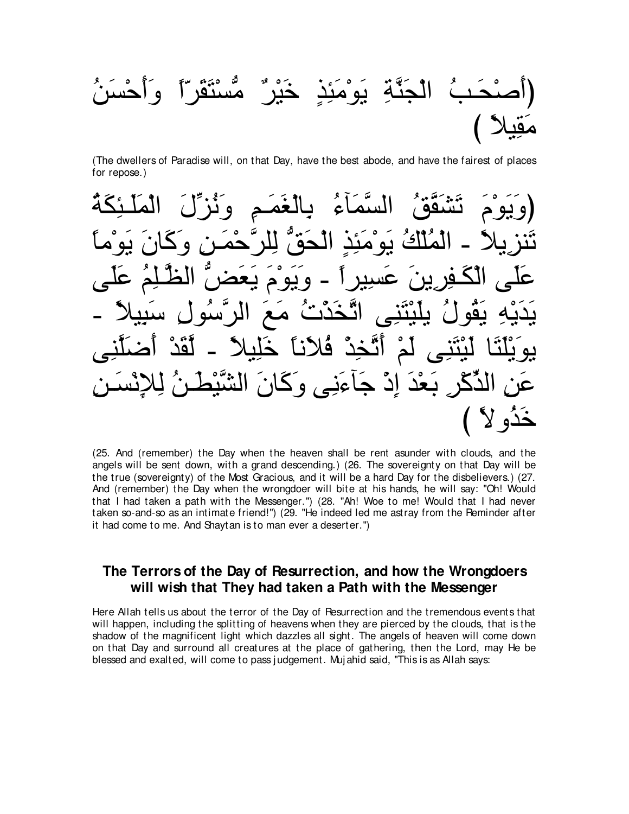⊥リ∠ジ∇ェ∠ぺ∠ヱ ⇔や∂ゲ∠ボ∠わ∇ジぁョ ∀ゲ∇Β∠カ ∃グ⌒ゃ∠ョ∇ヲ∠Α ⌒るzレ∠イ∇ャや ⊥ょ⇒∠エ∇タ∠ぺぴ び ⇔ΚΒ⌒ボ∠ョ

(The dwellers of Paradise will, on that Day, have the best abode, and have the fairest of places for repose.)

⊥る∠ム⌒ゃ⇒∠ヤ∠ヨ∇ャや ∠メあゴ⊥ル∠ヱ ⌒ユ⇒∠ヨ∠ピ∇ャゅ⌒よ ⊥¬べ∠ヨzジャや ⊥ペzボ∠ゼ∠ゎ ∠ュ∇ヲ∠Α∠ヱぴ ⇔ゅョ∇ヲ∠Α ∠ラゅ∠ミ∠ヱ ⌒リ⇒∠ヨ∇ェzゲヤ⌒ャ ぁペ∠エ∇ャや ∃グ⌒ゃ∠ョ∇ヲ∠Α ⊥マ∇ヤ⊥ヨ∇ャや - ⇔ΚΑ⌒ゴレ∠ゎ ヴ∠ヤ∠ハ ⊥ユ⌒ヤ⇒zヌャや ぁヂ∠バ∠Α ∠ュ∇ヲ∠Α∠ヱ - ⇔やゲΒ⌒ジ∠ハ ∠リΑ⌒ゲ⌒ヘ⇒∠ム∇ャや ヴ∠ヤ∠ハ - ⇔ΚΒ⌒ら∠シ ⌒メヲ⊥シzゲャや ∠ノ∠ョ ⊥れ∇グ∠ガzゎや ヴ⌒レ∠わ∇Β∠ヤΑ ⊥メヲ⊥ボ∠Α ⌒ヮ∇Α∠ギ∠Α ヴ⌒レzヤ∠ッ∠ぺ ∇ギ∠ボzャ - ⇔ΚΒ⌒ヤ∠カ ⇔ゅル∠Κ⊥プ ∇グ⌒ガzゎ∠ぺ ∇ユ∠ャ ヴ⌒レ∠わ∇Β∠ャ ゅ∠わ∠ヤ∇Α∠ヲΑ ⌒リ⇒∠ジ∇ル⌒Θ⌒ャ ⊥リ⇒∠ト∇Βzゼャや ∠ラゅ∠ミ∠ヱ ヴ⌒ル∠¬べ∠ィ ∇ク⌒ま ∠ギ∇バ∠よ ⌒ゲ∇ミあグャや ⌒リ∠ハ び ⇔Ιヱ⊥グ∠カ

(25. And (remember) the Day when the heaven shall be rent asunder with clouds, and the angels will be sent down, with a grand descending.) (26. The sovereignty on that Day will be the true (sovereignty) of the Most Gracious, and it will be a hard Day for the disbelievers.) (27. And (remember) the Day when the wrongdoer will bite at his hands, he will say: "Oh! Would that I had taken a path with the Messenger.'') (28. "Ah! Woe to me! Would that I had never taken so-and-so as an intimate friend!'') (29. "He indeed led me astray from the Reminder after it had come to me. And Shaytan is to man ever a deserter.'')

## **The Terrors of the Day of Resurrection, and how the Wrongdoers will wish that They had taken a Path with the Messenger**

Here Allah tells us about the terror of the Day of Resurrection and the tremendous events that will happen, including the splitting of heavens when they are pierced by the clouds, that is the shadow of the magnificent light which dazzles all sight. The angels of heaven will come down on that Day and surround all creatures at the place of gathering, then the Lord, may He be blessed and exalted, will come to pass judgement. Muj ahid said, "This is as Allah says: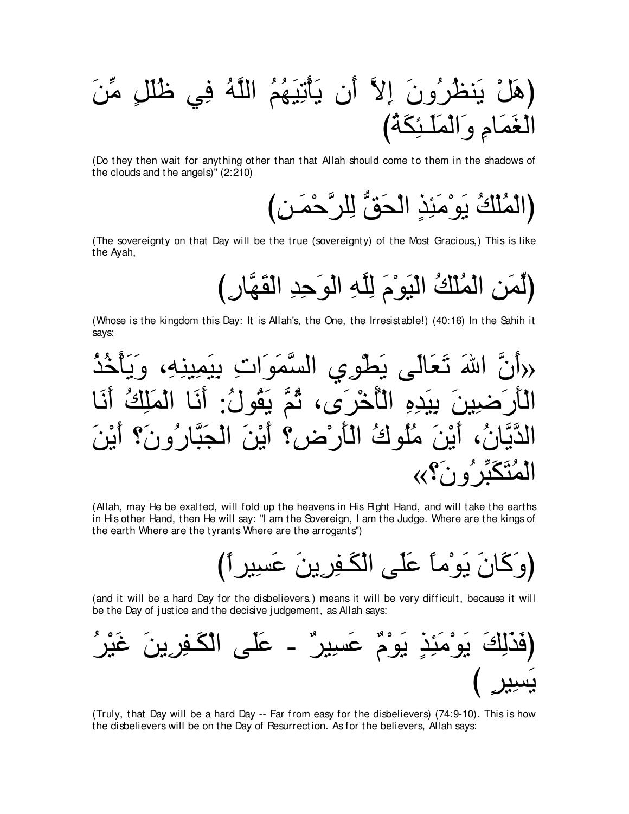∠リあョ ∃モ∠ヤ⊥ニ ヶ⌒プ ⊥ヮzヤャや ⊥ユ⊥ヰ∠Β⌒ゎ∇ほ∠Α ラ∠ぺ zΙ⌒ま ∠ラヱ⊥ゲ⊥ヌレ∠Α ∇モ∠ワぴ び⊥る∠ム⌒ゃ⇒∠ヤ∠ヨ∇ャや∠ヱ ⌒ュゅ∠ヨ∠ピ∇ャや

(Do they then wait for anything other than that Allah should come to them in the shadows of the clouds and the angels)'' (2:210)

(الْمُلْكُ يَو<sup>ْمَئِذٍ الْحَقُّ لِلرَّحْمَـن)</sup>

(The sovereignty on that Day will be the true (sovereignty) of the Most Gracious,) This is like the Ayah,

(لِّمَنِ الْمُلْكُ الْبَوْمَ لِلَّهِ الْوَحِدِ الْقَهَّارِ )

(Whose is the kingdom this Day: It is Allah's, the One, the Irresistable!) (40:16) In the Sahih it says:

⊥グ⊥カ∇ほ∠Α∠ヱ ∩⌒ヮ⌒レΒ⌒ヨ∠Β⌒よ ⌒れや∠ヲ∠ヨzジャや ヵ⌒ヲ∇ト∠Α ヴ∠ャゅ∠バ∠ゎ ∠ぶや zラ∠ぺ» ゅ∠ル∠ぺ ⊥マ⌒ヤ∠ヨ∇ャや ゅ∠ル∠ぺ :⊥メヲ⊥ボ∠Α zユ⊥を ∩ン∠ゲ∇カ⊥ほ∇ャや ⌒ロ⌒ギ∠Β⌒よ ∠リΒ⌒ッ∠ケ∠ほ∇ャや ∠リ∇Α∠ぺ ∨∠ラヱ⊥ケゅzら∠イ∇ャや ∠リ∇Α∠ぺ ∨⌒チ∇ケ∠ほ∇ャや ⊥ポヲ⊥ヤ⊥ョ ∠リ∇Α∠ぺ ∩⊥ラゅzΑzギャや «∨∠ラヱ⊥ゲあら∠ム∠わ⊥ヨ∇ャや

(Allah, may He be exalted, will fold up the heavens in His Right Hand, and will take the earths in His other Hand, then He will say: "I am the Sovereign, I am the Judge. Where are the kings of the earth Where are the tyrants Where are the arrogants'')

び⇔やゲΒ⌒ジ∠ハ ∠リΑ⌒ゲ⌒ヘ⇒∠ム∇ャや ヴ∠ヤ∠ハ ⇔ゅョ∇ヲ∠Α ∠ラゅ∠ミ∠ヱぴ

(and it will be a hard Day for the disbelievers.) means it will be very difficult, because it will be the Day of justice and the decisive judgement, as Allah says:

⊥ゲ∇Β∠ビ ∠リΑ⌒ゲ⌒ヘ⇒∠ム∇ャや ヴ∠ヤ∠ハ - ∀ゲΒ⌒ジ∠ハ ∀ュ∇ヲ∠Α ∃グ⌒ゃ∠ョ∇ヲ∠Α ∠マ⌒ャ∠グ∠プぴ び ∃ゲΒ⌒ジ∠Α

(Truly, that Day will be a hard Day -- Far from easy for the disbelievers) (74:9-10). This is how the disbelievers will be on the Day of Resurrection. As for the believers, Allah says: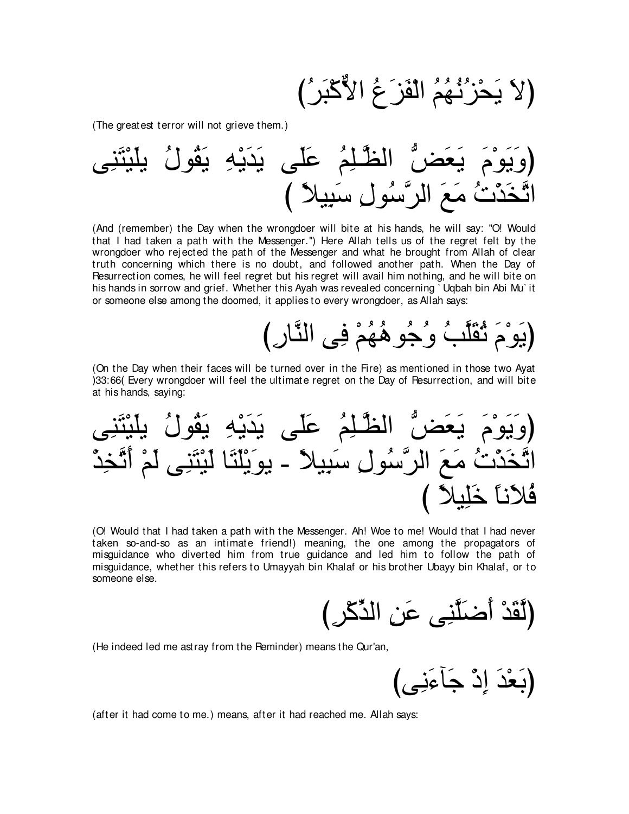(لا يَحْزُنْـهُمُ الْفَز<sup>ِ</sup> عُ الأَّكْبَرُ )

(The greatest terror will not grieve them.)

ヴ⌒レ∠わ∇Β∠ヤΑ ⊥メヲ⊥ボ∠Α ⌒ヮ∇Α∠ギ∠Α ヴ∠ヤ∠ハ ⊥ユ⌒ヤ⇒zヌャや ぁヂ∠バ∠Α ∠ュ∇ヲ∠Α∠ヱぴ び ⇔ΚΒ⌒ら∠シ ⌒メヲ⊥シzゲャや ∠ノ∠ョ ⊥れ∇グ∠ガzゎや

(And (remember) the Day when the wrongdoer will bite at his hands, he will say: "O! Would that I had taken a path with the Messenger.'') Here Allah tells us of the regret felt by the wrongdoer who rej ected the path of the Messenger and what he brought from Allah of clear truth concerning which there is no doubt, and followed another path. When the Day of Resurrection comes, he will feel regret but his regret will avail him nothing, and he will bite on his hands in sorrow and grief. Whether this Ayah was revealed concerning ` Uqbah bin Abi Mu` it or someone else among the doomed, it applies to every wrongdoer, as Allah says:

# (يَو<sup>ْ</sup>مَ ثُقَلَّبُ وُجُو هُهُمْ فِي النَّارِ )

 $\mathbf{r}$ 

(On the Day when their faces will be turned over in the Fire) as mentioned in those two Ayat 133:66 Every wrongdoer will feel the ultimate regret on the Day of Resurrection, and will bite at his hands, saying:

ヴ⌒レ∠わ∇Β∠ヤΑ ⊥メヲ⊥ボ∠Α ⌒ヮ∇Α∠ギ∠Α ヴ∠ヤ∠ハ ⊥ユ⌒ヤ⇒zヌャや ぁヂ∠バ∠Α ∠ュ∇ヲ∠Α∠ヱぴ ∇グ⌒ガzゎ∠ぺ ∇ユ∠ャ ヴ⌒レ∠わ∇Β∠ャ ゅ∠わ∠ヤ∇Α∠ヲΑ - ⇔ΚΒ⌒ら∠シ ⌒メヲ⊥シzゲャや ∠ノ∠ョ ⊥れ∇グ∠ガzゎや び ⇔ΚΒ⌒ヤ∠カ ⇔ゅル∠Κ⊥プ

(O! Would that I had taken a path with the Messenger. Ah! Woe to me! Would that I had never taken so-and-so as an intimate friend!) meaning, the one among the propagators of misguidance who diverted him from true guidance and led him to follow the path of misguidance, whether this refers to Umayyah bin Khalaf or his brother Ubayy bin Khalaf, or to someone else.

(لَقَدْ أَضـَلَّنِي عَنِ الدِّكْرِ )

(He indeed led me astray from the Reminder) means the Qur'an,

(بَعْدَ إِذْ جَأَءَنِي)

(after it had come to me.) means, after it had reached me. Allah says: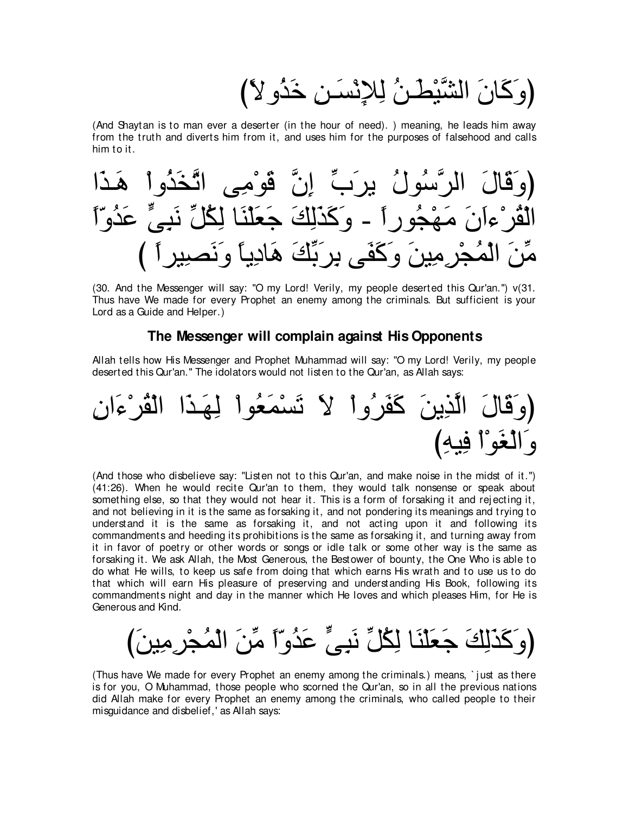لنُ لِلإِنْسَنِ خَذُو لا)

(And Shaytan is to man ever a deserter (in the hour of need). ) meaning, he leads him away from the truth and diverts him from it, and uses him for the purposes of falsehood and calls him to it.



(30. And the Messenger will say: "O my Lord! Verily, my people deserted this Qur'an.'') v(31. Thus have We made for every Prophet an enemy among the criminals. But sufficient is your Lord as a Guide and Helper.)

#### **The Messenger will complain against His Opponents**

Allah tells how His Messenger and Prophet Muhammad will say: "O my Lord! Verily, my people deserted this Qur'an.'' The idolators would not listen to the Qur'an, as Allah says:



(And those who disbelieve say: "Listen not to this Qur'an, and make noise in the midst of it.'') (41:26). When he would recite Qur'an to them, they would talk nonsense or speak about something else, so that they would not hear it. This is a form of forsaking it and rej ecting it, and not believing in it is the same as forsaking it, and not pondering its meanings and trying to understand it is the same as forsaking it, and not acting upon it and following its commandments and heeding its prohibitions is the same as forsaking it, and turning away from it in favor of poetry or other words or songs or idle talk or some other way is the same as forsaking it. We ask Allah, the Most Generous, the Bestower of bounty, the One Who is able to do what He wills, to keep us safe from doing that which earns His wrath and to use us to do that which will earn His pleasure of preserving and understanding His Book, following its commandments night and day in the manner which He loves and which pleases Him, for He is Generous and Kind.

(وَ كَذَلِكَ جَعَلْنَا لِكُلِّ نَبِيٍّ عَدُو ّاً مِّنَ الْمُجْرِمِينَ)

(Thus have We made for every Prophet an enemy among the criminals.) means, ` j ust as there is for you, O Muhammad, those people who scorned the Qur'an, so in all the previous nations did Allah make for every Prophet an enemy among the criminals, who called people to their misguidance and disbelief,' as Allah says: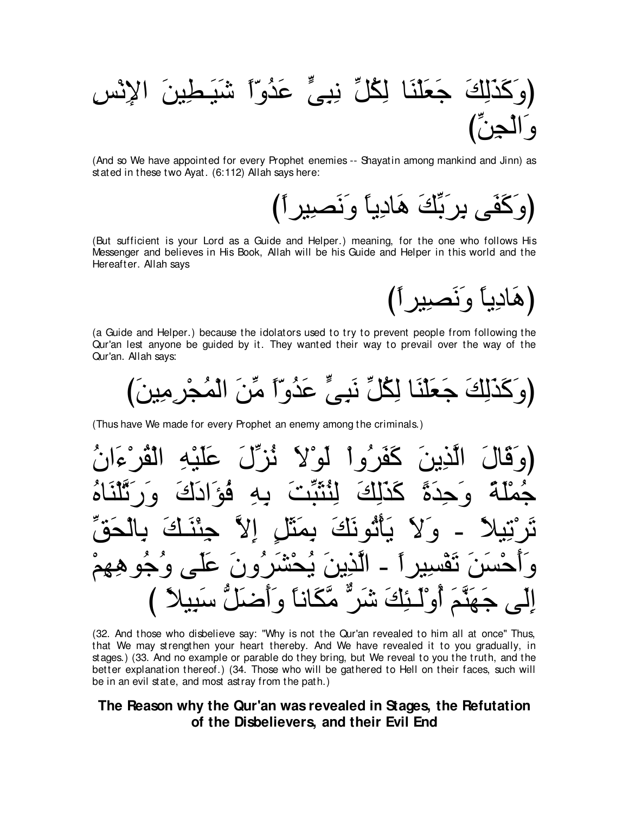(And so We have appointed for every Prophet enemies -- Shayatin among mankind and Jinn) as stated in these two Ayat. (6:112) Allah says here:

(But sufficient is your Lord as a Guide and Helper.) meaning, for the one who follows His Messenger and believes in His Book, Allah will be his Guide and Helper in this world and the Hereafter. Allah says

(هَادِياً وَنَصبِيراً)

(a Guide and Helper.) because the idolators used to try to prevent people from following the Qur'an lest anyone be guided by it. They wanted their way to prevail over the way of the Qur'an. Allah says:

(Thus have We made for every Prophet an enemy among the criminals.)

(32. And those who disbelieve say: "Why is not the Qur'an revealed to him all at once" Thus, that We may strengthen your heart thereby. And We have revealed it to you gradually, in stages.) (33. And no example or parable do they bring, but We reveal to you the truth, and the better explanation thereof.) (34. Those who will be gathered to Hell on their faces, such will be in an evil state, and most astray from the path.)

### The Reason why the Qur'an was revealed in Stages, the Refutation of the Disbelievers, and their Evil End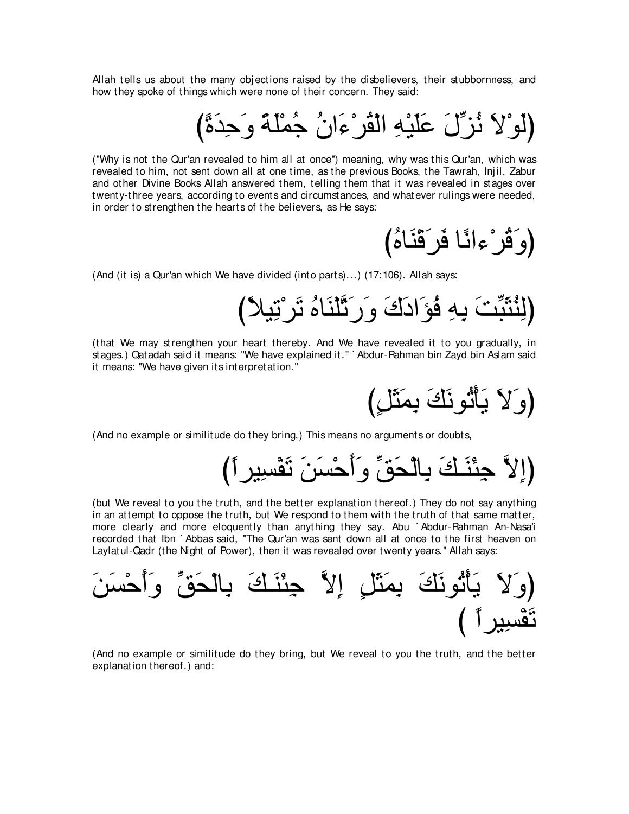Allah tells us about the many objections raised by the disbelievers, their stubbornness, and how they spoke of things which were none of their concern. They said:

# (لو ْلا نُزِّلَ عَلَيْهِ الْقُرْءَانُ جُمْلَةً وَحِدَةً)

("Why is not the Qur'an revealed to him all at once'') meaning, why was this Qur'an, which was revealed to him, not sent down all at one time, as the previous Books, the Tawrah, Injil, Zabur and other Divine Books Allah answered them, telling them that it was revealed in stages over twenty-three years, according to events and circumstances, and whatever rulings were needed, in order to strengthen the hearts of the believers, as He says:

(وَقُرْءانًا فَرَقَنَاهُ)

(And (it is) a Qur'an which We have divided (into parts)...) (17:106). Allah says:

び⇔ΚΒ⌒ゎ∇ゲ∠ゎ ⊥ロゅ∠レ∇ヤzゎ∠ケ∠ヱ ∠ポ∠キや∠ぽ⊥プ ⌒ヮ⌒よ ∠ろあら∠ん⊥レ⌒ャぴ

(that We may strengthen your heart thereby. And We have revealed it to you gradually, in stages.) Qatadah said it means: "We have explained it.'' ` Abdur-Rahman bin Zayd bin Aslam said it means: "We have given its interpretation.''

(وَ∑∑ يَأْتُونَكَ بِمَثَلٍ)

(And no example or similitude do they bring,) This means no arguments or doubts,

び⇔やゲΒ⌒ジ∇ヘ∠ゎ ∠リ∠ジ∇ェ∠ぺ∠ヱ あペ∠エ∇ャゅ⌒よ ∠マ⇒∠レ∇ゃ⌒ィ zΙ⌒まぴ

(but We reveal to you the truth, and the better explanation thereof.) They do not say anything in an attempt to oppose the truth, but We respond to them with the truth of that same matter, more clearly and more eloquently than anything they say. Abu ` Abdur-Rahman An-Nasa'i recorded that Ibn ` Abbas said, "The Qur'an was sent down all at once to the first heaven on Laylatul-Qadr (the Night of Power), then it was revealed over twenty years.'' Allah says:

∠リ∠ジ∇ェ∠ぺ∠ヱ あペ∠エ∇ャゅ⌒よ ∠マ⇒∠レ∇ゃ⌒ィ zΙ⌒ま ∃モ∠ん∠ヨ⌒よ ∠マ∠ルヲ⊥ゎ∇ほ∠Α ∠Ι∠ヱぴ び ⇔やゲΒ⌒ジ∇ヘ∠ゎ

(And no example or similitude do they bring, but We reveal to you the truth, and the better explanation thereof.) and: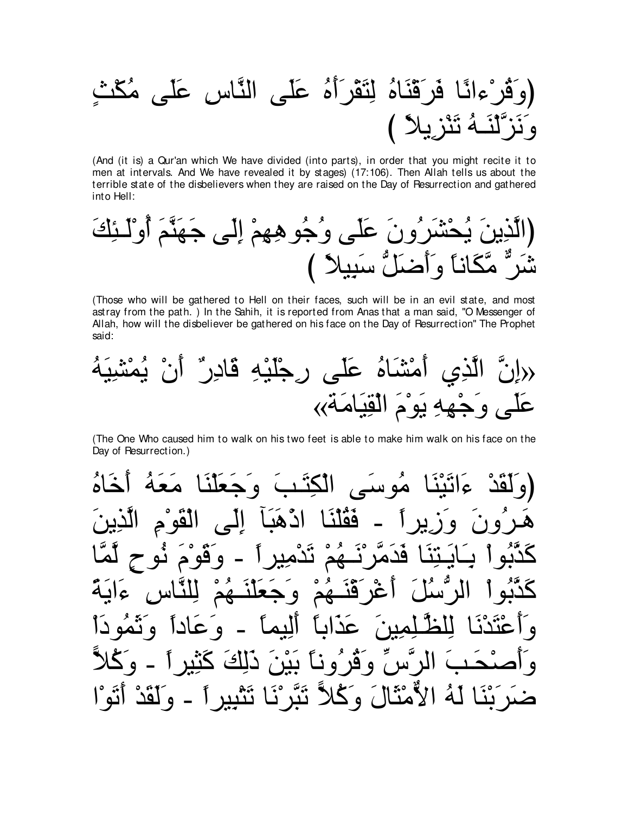(And (it is) a Qur'an which We have divided (into parts), in order that you might recite it to men at intervals. And We have revealed it by stages) (17:106). Then Allah tells us about the terrible state of the disbelievers when they are raised on the Day of Resurrection and gathered into Hell:

(Those who will be gathered to Hell on their faces, such will be in an evil state, and most astray from the path.) In the Sahih, it is reported from Anas that a man said, "O Messenger of Allah, how will the disbeliever be gathered on his face on the Day of Pesurrection" The Prophet said:

(راِنَّ الَّذِيِ أَمُتٌَاهُ عَلَى رِجُلَّيُهِ قَادِرُّ اُنٌ يُمُتُنِيَهُ
$$
\overrightarrow{A}
$$

(The One Who caused him to walk on his two feet is able to make him walk on his face on the Day of Resurrection.)

مه س اقہ م فقلنا هيا اد  $\bullet$  $\Delta$  $\bullet$ ه نم  $\bullet$ و نا اڪ انتن پ い <u>ي</u>  $\bullet$ نَتَرْ نَا نَتْبِيرِ أَ الأمثالَ وكلاً - وَلَقَدْ لمُ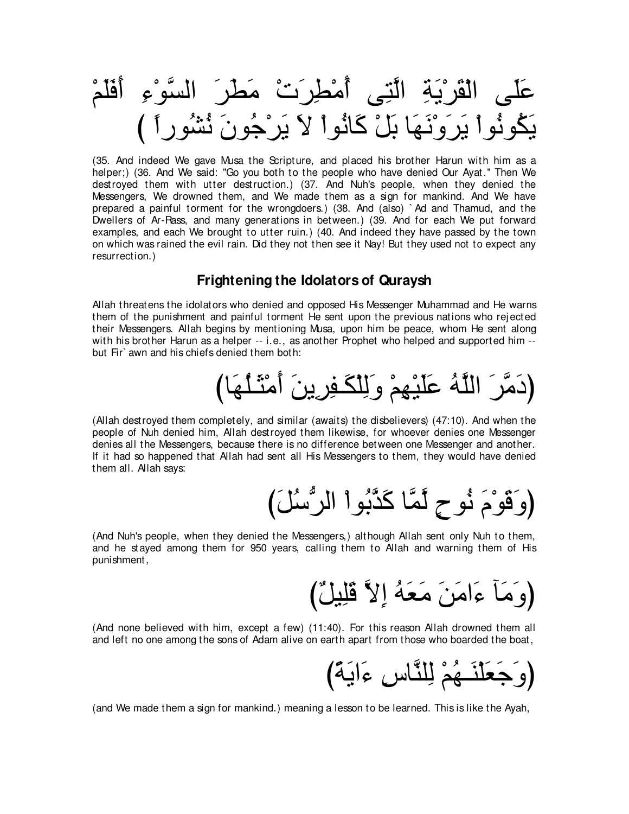(35. And indeed We gave Musa the Scripture, and placed his brother Harun with him as a helper;) (36. And We said: "Go you both to the people who have denied Our Ayat." Then We destroyed them with utter destruction.) (37. And Nuh's people, when they denied the Messengers, We drowned them, and We made them as a sign for mankind. And We have prepared a painful torment for the wrongdoers.) (38. And (also) `Ad and Thamud, and the Dwellers of Ar-Rass, and many generations in between.) (39. And for each We put forward examples, and each We brought to utter ruin.) (40. And indeed they have passed by the town on which was rained the evil rain. Did they not then see it Nay! But they used not to expect any resurrection.)

### **Frightening the Idolators of Quraysh**

Allah threatens the idolators who denied and opposed His Messenger Muhammad and He warns them of the punishment and painful torment He sent upon the previous nations who rejected their Messengers. Allah begins by mentioning Musa, upon him be peace, whom He sent along with his brother Harun as a helper -- i.e., as another Prophet who helped and supported him -but Fir` awn and his chiefs denied them both:

(Allah destroyed them completely, and similar (awaits) the disbelievers) (47:10). And when the people of Nuh denied him, Allah destroyed them likewise, for whoever denies one Messenger denies all the Messengers, because there is no difference between one Messenger and another. If it had so happened that Allah had sent all His Messengers to them, they would have denied them all. Allah says:

(And Nuh's people, when they denied the Messengers,) although Allah sent only Nuh to them, and he stayed among them for 950 years, calling them to Allah and warning them of His punishment,

(And none believed with him, except a few) (11:40). For this reason Allah drowned them all and left no one among the sons of Adam alive on earth apart from those who boarded the boat,

(and We made them a sign for mankind.) meaning a lesson to be learned. This is like the Ayah,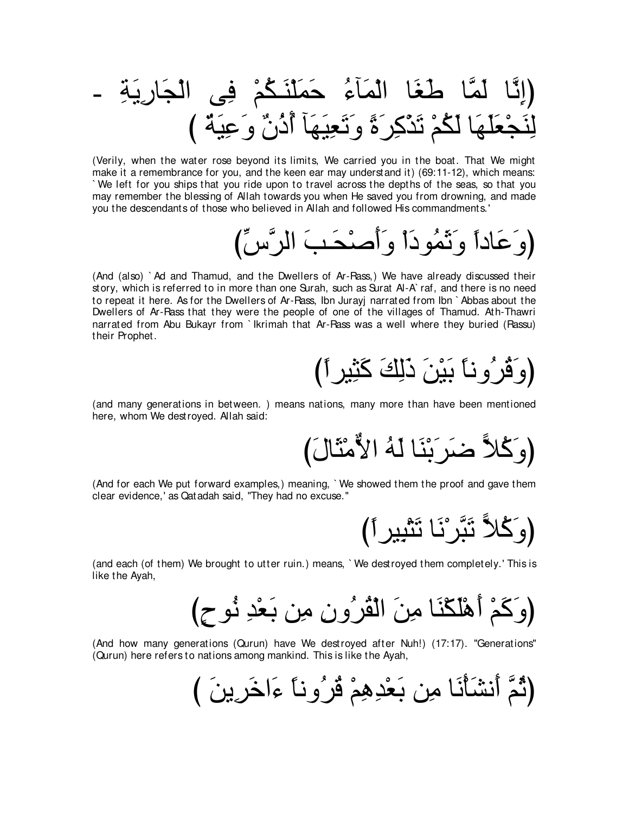(Verily, when the water rose beyond its limits, We carried you in the boat. That We might make it a remembrance for you, and the keen ear may understand it) (69:11-12), which means: We left for you ships that you ride upon to travel across the depths of the seas, so that you may remember the blessing of Allah towards you when He saved you from drowning, and made you the descendants of those who believed in Allah and followed His commandments.'

(And (also) `Ad and Thamud, and the Dwellers of Ar-Rass,) We have already discussed their story, which is referred to in more than one Surah, such as Surat Al-A`raf, and there is no need to repeat it here. As for the Dwellers of Ar-Rass, Ibn Jurayj narrated from Ibn `Abbas about the Dwellers of Ar-Rass that they were the people of one of the villages of Thamud. Ath-Thawri narrated from Abu Bukayr from `lkrimah that Ar-Rass was a well where they buried (Rassu) their Prophet.

(and many generations in between.) means nations, many more than have been mentioned here, whom We destroyed. Allah said:

(And for each We put forward examples,) meaning, 'We showed them the proof and gave them clear evidence,' as Qatadah said, "They had no excuse."

(وَكُلاً نَبَّرْنَا نَتْبِيرِ ٱ)

(and each (of them) We brought to utter ruin.) means, `We destroyed them completely.' This is like the Ayah,

(And how many generations (Qurun) have We destroyed after Nuh!) (17:17). "Generations" (Qurun) here refers to nations among mankind. This is like the Ayah,

(ثُمَّ أَنشَأْنَا مِن بَعْدِهِمْ ڤُرُوناً ءَاخَرِينَ )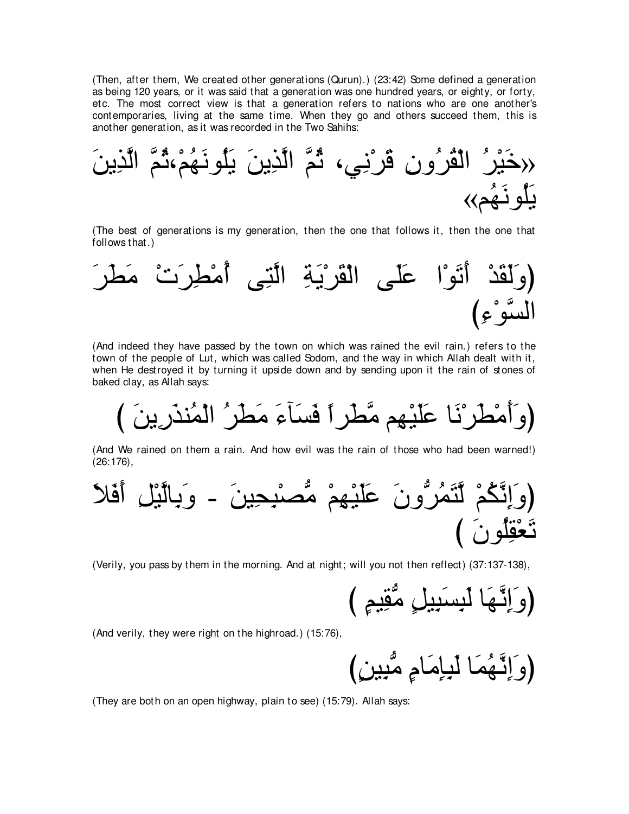(Then, after them, We created other generations (Qurun).) (23:42) Some defined a generation as being 120 years, or it was said that a generation was one hundred years, or eighty, or forty, etc. The most correct view is that a generation refers to nations who are one another's contemporaries, living at the same time. When they go and others succeed them, this is another generation, as it was recorded in the Two Sahihs:

∠リΑ⌒グzャや zユ⊥を∩∇ユ⊥ヰ∠ルヲ⊥ヤ∠Α ∠リΑ⌒グzャや zユ⊥を ∩ヶ⌒ル∇ゲ∠ホ ⌒ラヱ⊥ゲ⊥ボ∇ャや ⊥ゲ∇Β∠カ» «ユ⊥ヰ∠ルヲ⊥ヤ∠Α

(The best of generations is my generation, then the one that follows it, then the one that follows that.)



(And indeed they have passed by the town on which was rained the evil rain.) refers to the town of the people of Lut, which was called Sodom, and the way in which Allah dealt with it, when He destroyed it by turning it upside down and by sending upon it the rain of stones of baked clay, as Allah says:

び ∠リΑ⌒ケ∠グレ⊥ヨ∇ャや ⊥ゲ∠ト∠ョ ∠¬べ∠ジ∠プ ⇔やゲ∠トzョ ユ⌒ヰ∇Β∠ヤ∠ハ ゅ∠ル∇ゲ∠ト∇ョ∠ぺ∠ヱぴ

(And We rained on them a rain. And how evil was the rain of those who had been warned!) (26:176),

∠Κ∠プ∠ぺ ⌒モ∇Βzャゅ⌒よ∠ヱ - ∠リΒ⌒エ⌒ら∇ダぁョ ∇ユ⌒ヰ∇Β∠ヤ∠ハ ∠ラヱぁゲ⊥ヨ∠わzャ ∇ユ⊥ムzル⌒ま∠ヱぴ び ∠ラヲ⊥ヤ⌒ボ∇バ∠ゎ

(Verily, you pass by them in the morning. And at night; will you not then reflect) (37:137-138),

び ∃ユΒ⌒ボぁョ ∃モΒ⌒ら∠ジ⌒ら∠ャ ゅ∠ヰzル⌒ま∠ヱぴ

(And verily, they were right on the highroad.) (15:76),

び∃リΒ⌒らぁョ ∃ュゅ∠ョ⌒み⌒ら∠ャ ゅ∠ヨ⊥ヰzル⌒ま∠ヱぴ

(They are both on an open highway, plain to see) (15:79). Allah says: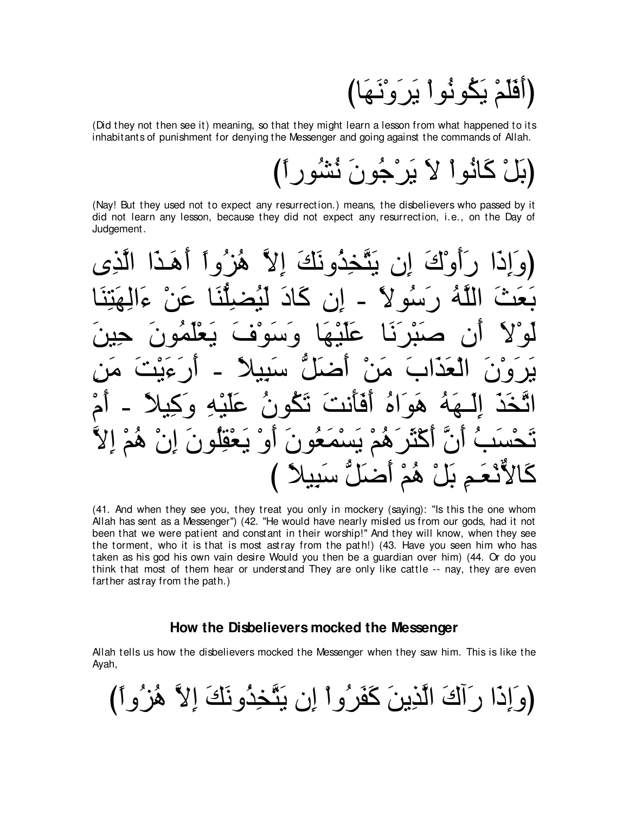(أَفَلَمْ يَكُونُواْ يَرَوْنَهَا)

(Did they not then see it) meaning, so that they might learn a lesson from what happened to its inhabitants of punishment for denying the Messenger and going against the commands of Allah.

# (بَلْ كَانُوا لاَ يَرْجُونَ نُشُورِ ٱ)

(Nay! But they used not to expect any resurrection.) means, the disbelievers who passed by it did not learn any lesson, because they did not expect any resurrection, i.e., on the Day of Judgement.

ْكَ إِن يَتَّخِذُو نَكَ إِلاَّ هُزْ ُو أَ <u>کاد</u> ر سبّه لا ه سته  $\bullet$ َها\*، هم بسمعون  $\mathbf{Q}$ نْعَمِ بَلْ هُمْ أَصْلُ ّسَبِيلاً )

(41. And when they see you, they treat you only in mockery (saying): "Is this the one whom Allah has sent as a Messenger") (42. "He would have nearly misled us from our gods, had it not been that we were patient and constant in their worship!" And they will know, when they see the torment, who it is that is most astray from the path!) (43. Have you seen him who has taken as his god his own vain desire Would you then be a guardian over him) (44. Or do you think that most of them hear or understand They are only like cattle -- nay, they are even farther astray from the path.)

#### How the Disbelievers mocked the Messenger

Allah tells us how the disbelievers mocked the Messenger when they saw him. This is like the Ayah,

(وَ إِذَا رَ أَكَ الَّذِينَ كَفَرٌ وَ أَ إِن يَتَّخِذُو نَكَ إِلاَّ هُزٌّ وِ ٱ)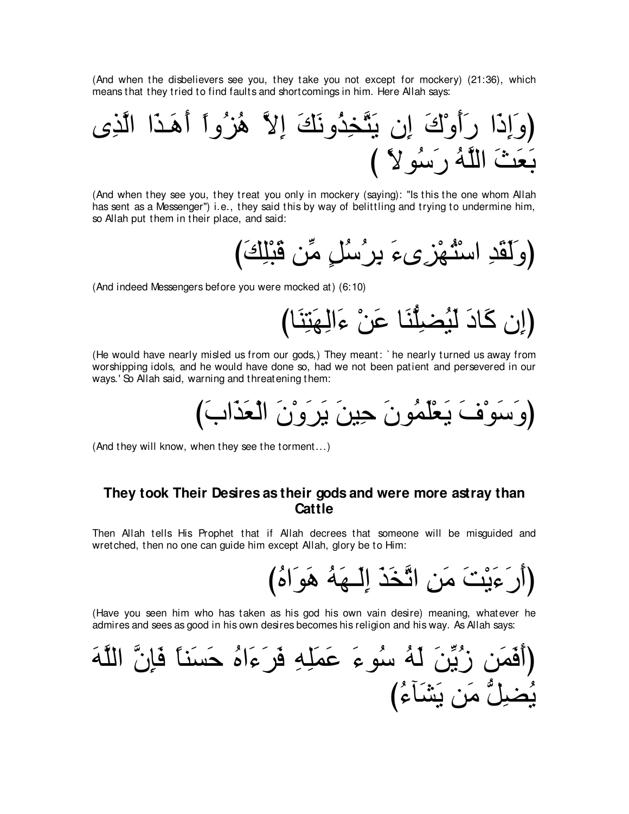(And when the disbelievers see you, they take you not except for mockery) (21:36), which means that they tried to find faults and shortcomings in him. Here Allah says:

(And when they see you, they treat you only in mockery (saying): "Is this the one whom Allah has sent as a Messenger") i.e., they said this by way of belittling and trying to undermine him, so Allah put them in their place, and said:

(And indeed Messengers before you were mocked at) (6:10)

(He would have nearly misled us from our gods,) They meant: `he nearly turned us away from worshipping idols, and he would have done so, had we not been patient and persevered in our ways.' So Allah said, warning and threatening them:

(And they will know, when they see the torment...)

## They took Their Desires as their gods and were more astray than Cattle

Then Allah tells His Prophet that if Allah decrees that someone will be misguided and wretched, then no one can guide him except Allah, glory be to Him:

(Have you seen him who has taken as his god his own vain desire) meaning, whatever he admires and sees as good in his own desires becomes his religion and his way. As Allah says: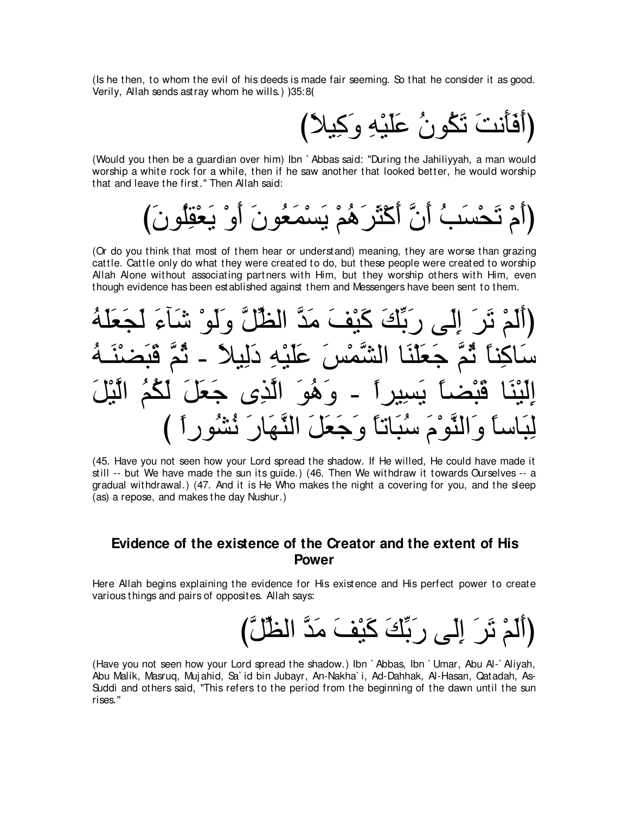(Is he then, to whom the evil of his deeds is made fair seeming. So that he consider it as good. Verily, Allah sends astray whom he wills.)  $35:8($ 

び⇔ΚΒ⌒ミ∠ヱ ⌒ヮ∇Β∠ヤ∠ハ ⊥ラヲ⊥ム∠ゎ ∠ろル∠ほ∠プ∠ぺぴ

(Would you then be a guardian over him) Ibn ` Abbas said: "During the Jahiliyyah, a man would worship a white rock for a while, then if he saw another that looked better, he would worship that and leave the first.'' Then Allah said:

び∠ラヲ⊥ヤ⌒ボ∇バ∠Α ∇ヱ∠ぺ ∠ラヲ⊥バ∠ヨ∇ジ∠Α ∇ユ⊥ワ∠ゲ∠ん∇ミ∠ぺ zラ∠ぺ ⊥ょ∠ジ∇エ∠ゎ ∇ュ∠ぺぴ

(Or do you think that most of them hear or understand) meaning, they are worse than grazing cattle. Cattle only do what they were created to do, but these people were created to worship Allah Alone without associating partners with Him, but they worship others with Him, even though evidence has been established against them and Messengers have been sent to them.

⊥ヮ∠ヤ∠バ∠イ∠ャ ∠¬べ∠セ ∇ヲ∠ャ∠ヱ zモあヌャや zギ∠ョ ∠ブ∇Β∠ミ ∠マあよ∠ケ ヴ∠ャ⌒ま ∠ゲ∠ゎ ∇ユ∠ャ∠ぺぴ ⊥ヮ⇒∠レ∇ツ∠ら∠ホ zユ⊥を - ⇔ΚΒ⌒ャ∠キ ⌒ヮ∇Β∠ヤ∠ハ ∠ザ∇ヨzゼャや ゅ∠レ∇ヤ∠バ∠ィ zユ⊥を ⇔ゅレ⌒ミゅ∠シ ∠モ∇Βzャや ⊥ユ⊥ム∠ャ ∠モ∠バ∠ィ ン⌒グzャや ∠ヲ⊥ワ∠ヱ - ⇔やゲΒ⌒ジ∠Α ⇔ゅツ∇ら∠ホ ゅ∠レ∇Β∠ャ⌒ま び ⇔やケヲ⊥ゼ⊥ル ∠ケゅ∠ヰzレャや ∠モ∠バ∠ィ∠ヱ ⇔ゅゎゅ∠ら⊥シ ∠ュ∇ヲzレャや∠ヱ ⇔ゅシゅ∠ら⌒ャ

(45. Have you not seen how your Lord spread the shadow. If He willed, He could have made it still -- but We have made the sun its guide.) (46. Then We withdraw it towards Ourselves -- a gradual withdrawal.) (47. And it is He Who makes the night a covering for you, and the sleep (as) a repose, and makes the day Nushur.)

### **Evidence of the existence of the Creator and the extent of His Power**

Here Allah begins explaining the evidence for His existence and His perfect power to create various things and pairs of opposites. Allah says:

(أَلَمْ تَرَ إِلَى رَبِّكَ كَيْفَ مَدَّ الظِّلَّ)

(Have you not seen how your Lord spread the shadow.) Ibn ` Abbas, Ibn ` Umar, Abu Al-` Aliyah, Abu Malik, Masruq, Muj ahid, Sa` id bin Jubayr, An-Nakha` i, Ad-Dahhak, Al-Hasan, Qatadah, As-Suddi and others said, "This refers to the period from the beginning of the dawn until the sun rises.''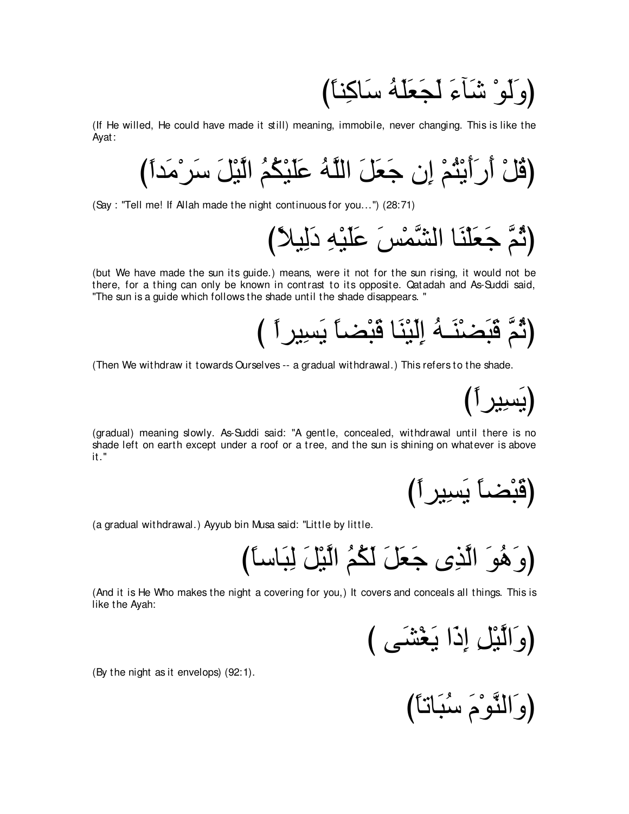(وَ لَوْ شَأَءَ لَجَعَلَهُ سَاكِناً)

(If He willed, He could have made it still) meaning, immobile, never changing. This is like the Ayat:

び⇔やギ∠ョ∇ゲ∠シ ∠モ∇Βzャや ⊥ユ⊥ム∇Β∠ヤ∠ハ ⊥ヮzヤャや ∠モ∠バ∠ィ ラ⌒ま ∇ユ⊥わ∇Α∠ぺ∠ケ∠ぺ ∇モ⊥ホぴ

(Say : "Tell me! If Allah made the night continuous for you...'') (28:71)

び⇔ΚΒ⌒ャ∠キ ⌒ヮ∇Β∠ヤ∠ハ ∠ザ∇ヨzゼャや ゅ∠レ∇ヤ∠バ∠ィ zユ⊥をぴ

(but We have made the sun its guide.) means, were it not for the sun rising, it would not be there, for a thing can only be known in contrast to its opposite. Qatadah and As-Suddi said, "The sun is a guide which follows the shade until the shade disappears. ''

び ⇔やゲΒ⌒ジ∠Α ⇔ゅツ∇ら∠ホ ゅ∠レ∇Β∠ャ⌒ま ⊥ヮ⇒∠レ∇ツ∠ら∠ホ zユ⊥をぴ

(Then We withdraw it towards Ourselves -- a gradual withdrawal.) This refers to the shade.

(يَسِيِيرِ أ

(gradual) meaning slowly. As-Suddi said: "A gentle, concealed, withdrawal until there is no shade left on earth except under a roof or a tree, and the sun is shining on whatever is above it.''

び⇔やゲΒ⌒ジ∠Α ⇔ゅツ∇ら∠ホぴ

(a gradual withdrawal.) Ayyub bin Musa said: "Little by little.

び⇔ゅシゅ∠ら⌒ャ ∠モ∇Βzャや ⊥ユ⊥ム∠ャ ∠モ∠バ∠ィ ン⌒グzャや ∠ヲ⊥ワ∠ヱぴ

(And it is He Who makes the night a covering for you,) It covers and conceals all things. This is like the Ayah:

び ヴ∠ゼ∇ピ∠Α や∠ク⌒ま ⌒モ∇Βzャや∠ヱぴ

(By the night as it envelops) (92:1).

(وَالنَّوْمَ سُبَاتَا)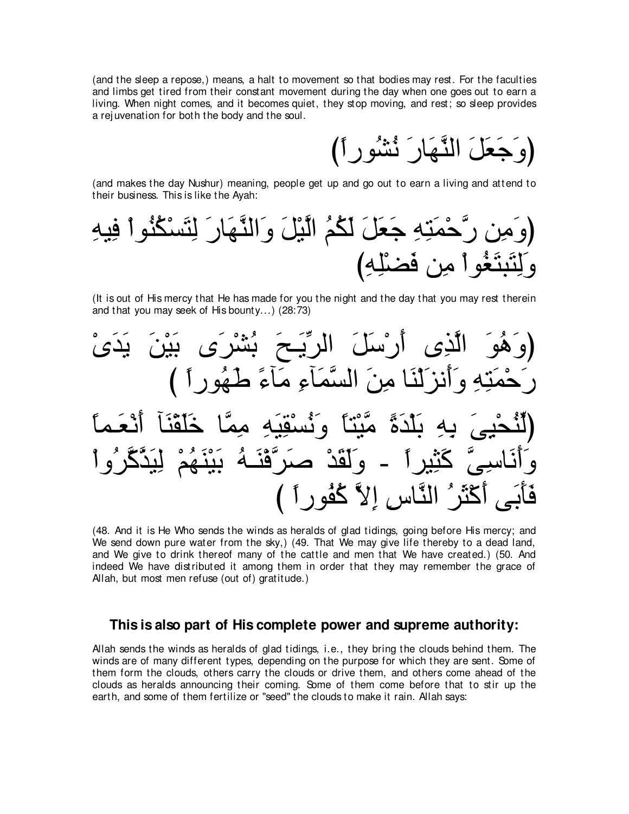(and the sleep a repose,) means, a halt to movement so that bodies may rest. For the faculties and limbs get tired from their constant movement during the day when one goes out to earn a living. When night comes, and it becomes quiet, they stop moving, and rest; so sleep provides a rejuvenation for both the body and the soul.

(وَجَعَلَ النَّهَارَ نُشُورِ أَ)

(and makes the day Nushur) meaning, people get up and go out to earn a living and attend to their business. This is like the Avah:

(It is out of His mercy that He has made for you the night and the day that you may rest therein and that you may seek of His bounty...) (28:73)



(48. And it is He Who sends the winds as heralds of glad tidings, going before His mercy; and We send down pure water from the sky,) (49. That We may give life thereby to a dead land, and We give to drink thereof many of the cattle and men that We have created.) (50. And indeed We have distributed it among them in order that they may remember the grace of Allah, but most men refuse (out of) gratitude.)

#### This is also part of His complete power and supreme authority:

Allah sends the winds as heralds of glad tidings, i.e., they bring the clouds behind them. The winds are of many different types, depending on the purpose for which they are sent. Some of them form the clouds, others carry the clouds or drive them, and others come ahead of the clouds as heralds announcing their coming. Some of them come before that to stir up the earth, and some of them fertilize or "seed" the clouds to make it rain. Allah says: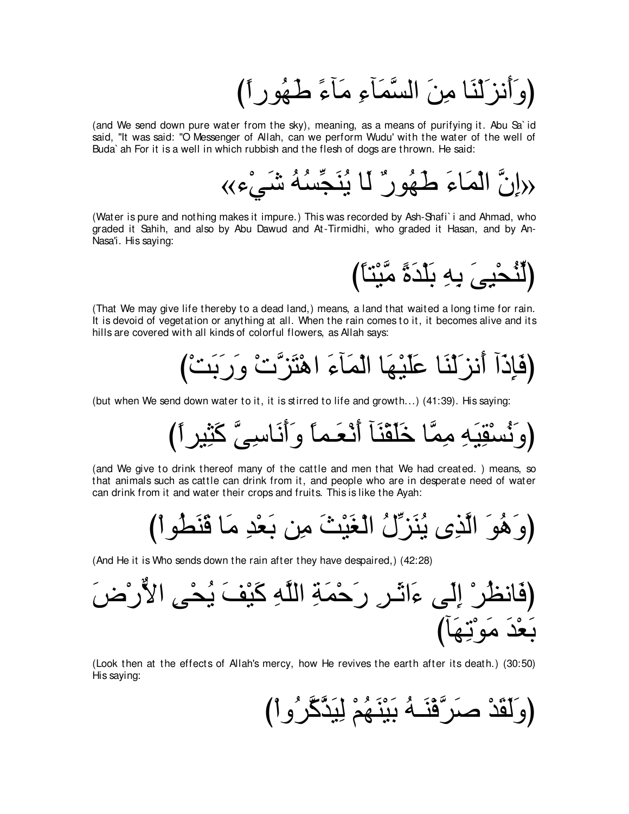(وَأَنزَلْنَا مِنَ السَّمَاءِ مَآءً طَهُورِ أَ)

(and We send down pure water from the sky), meaning, as a means of purifying it. Abu Sa`id said, "It was said: "O Messenger of Allah, can we perform Wudu' with the water of the well of Buda' ah For it is a well in which rubbish and the flesh of dogs are thrown. He said:

(Water is pure and nothing makes it impure.) This was recorded by Ash-Shafi' i and Ahmad, who graded it Sahih, and also by Abu Dawud and At-Tirmidhi, who graded it Hasan, and by An-Nasa'i. His saying:

(لَنُحْيِيَ بِهِ بَلْدَةً مَّبْنَاً)

(That We may give life thereby to a dead land.) means, a land that waited a long time for rain. It is devoid of vegetation or anything at all. When the rain comes to it, it becomes alive and its hills are covered with all kinds of colorful flowers, as Allah says:

(but when We send down water to it, it is stirred to life and growth...) (41:39). His saying:

(and We give to drink thereof many of the cattle and men that We had created.) means, so that animals such as cattle can drink from it, and people who are in desperate need of water can drink from it and water their crops and fruits. This is like the Ayah:

(And He it is Who sends down the rain after they have despaired.) (42:28)

(Look then at the effects of Allah's mercy, how He revives the earth after its death.) (30:50) His saying: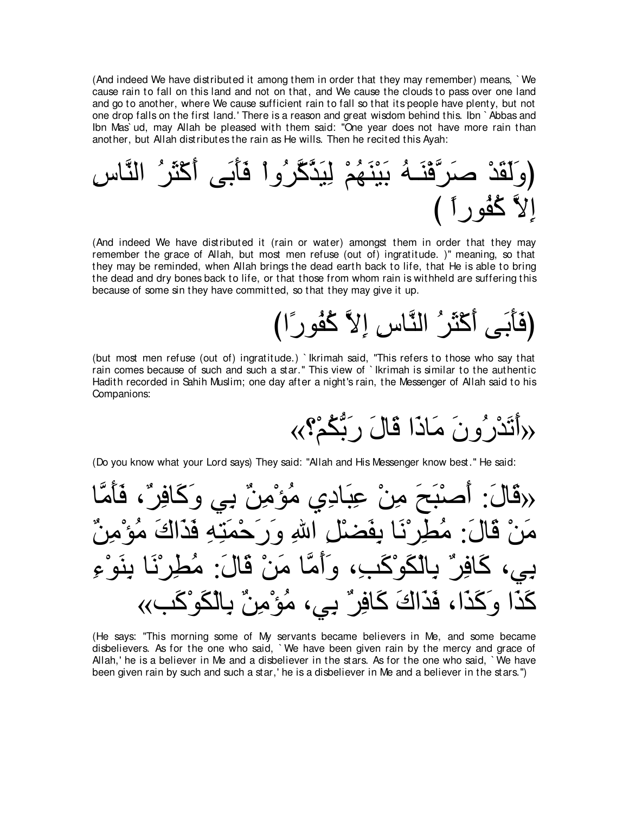(And indeed We have distributed it among them in order that they may remember) means, ` We cause rain to fall on this land and not on that, and We cause the clouds to pass over one land and go to another, where We cause sufficient rain to fall so that its people have plenty, but not one drop falls on the first land.' There is a reason and great wisdom behind this. Ibn ` Abbas and Ibn Mas` ud, may Allah be pleased with them said: "One year does not have more rain than another, but Allah distributes the rain as He wills. Then he recited this Ayah:

⌒サゅzレャや ⊥ゲ∠ん∇ミ∠ぺ ヴ∠よ∠ほ∠プ ∇やヱ⊥ゲzミzグ∠Β⌒ャ ∇ユ⊥ヰ∠レ∇Β∠よ ⊥ヮ⇒∠レ∇プzゲ∠タ ∇ギ∠ボ∠ャ∠ヱぴ び ⇔やケヲ⊥ヘ⊥ミ zΙ⌒ま

(And indeed We have distributed it (rain or water) amongst them in order that they may remember the grace of Allah, but most men refuse (out of) ingratitude. )" meaning, so that they may be reminded, when Allah brings the dead earth back to life, that He is able to bring the dead and dry bones back to life, or that those from whom rain is withheld are suffering this because of some sin they have committed, so that they may give it up.

びや⇔ケヲ⊥ヘ⊥ミ zΙ⌒ま ⌒サゅzレャや ⊥ゲ∠ん∇ミ∠ぺ ヴ∠よ∠ほ∠プぴ

(but most men refuse (out of) ingratitude.) ` Ikrimah said, "This refers to those who say that rain comes because of such and such a star.'' This view of ` Ikrimah is similar to the authentic Hadith recorded in Sahih Muslim; one day after a night's rain, the Messenger of Allah said to his Companions:

«∨∇ユ⊥ムぁよ∠ケ ∠メゅ∠ホ や∠クゅ∠ョ ∠ラヱ⊥ケ∇ギ∠ゎ∠ぺ»

(Do you know what your Lord says) They said: "Allah and His Messenger know best.'' He said:

ゅzョ∠ほ∠プ ∩∀ゲ⌒プゅ∠ミ∠ヱ ヶ⌒よ ∀リ⌒ョ∇ぽ⊥ョ ヵ⌒キゅ∠ら⌒ハ ∇リ⌒ョ ∠ウ∠ら∇タ∠ぺ :∠メゅ∠ホ» ∀リ⌒ョ∇ぽ⊥ョ ∠ポや∠グ∠プ ⌒ヮ⌒わ∠ヨ∇ェ∠ケ∠ヱ ⌒ぶや ⌒モ∇ツ∠ヘ⌒よ ゅ∠ル∇ゲ⌒ト⊥ョ :∠メゅ∠ホ ∇リ∠ョ ⌒¬∇ヲ∠レ⌒よ ゅ∠ル∇ゲ⌒ト⊥ョ :∠メゅ∠ホ ∇リ∠ョ ゅzョ∠ぺ∠ヱ ∩⌒ょ∠ミ∇ヲ∠ム∇ャゅ⌒よ ∀ゲ⌒プゅ∠ミ ∩ヶ⌒よ «ょ∠ミ∇ヲ∠ム∇ャゅ⌒よ ∀リ⌒ョ∇ぽ⊥ョ ∩ヶ⌒よ ∀ゲ⌒プゅ∠ミ ∠ポや∠グ∠プ ∩や∠グ∠ミ∠ヱ や∠グ∠ミ

(He says: "This morning some of My servants became believers in Me, and some became disbelievers. As for the one who said, ` We have been given rain by the mercy and grace of Allah,' he is a believer in Me and a disbeliever in the stars. As for the one who said, ` We have been given rain by such and such a star,' he is a disbeliever in Me and a believer in the stars.'')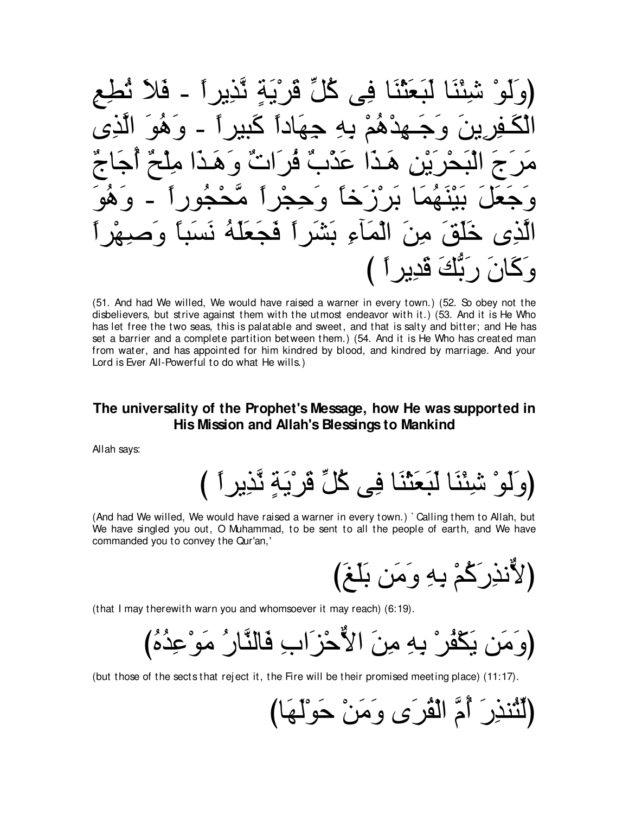نَعَثْنَا فِي كُلِّ قَرْيَةٍ نَّذِيراً - فَلا ھڌھُمَ به حهَاداً گسر é  $\mathbf{I}$  $\bullet$  $\ddot{\mathbf{q}}$  $2($ اءِ بشَّر آ فحع ایَ قدیر آ )

(51. And had We willed, We would have raised a warner in every town.) (52. So obey not the disbelievers, but strive against them with the utmost endeavor with it.) (53. And it is He Who has let free the two seas, this is palatable and sweet, and that is salty and bitter; and He has set a barrier and a complete partition between them.) (54. And it is He Who has created man from water, and has appointed for him kindred by blood, and kindred by marriage. And your Lord is Ever All-Powerful to do what He wills.)

### The universality of the Prophet's Message, how He was supported in His Mission and Allah's Blessings to Mankind

Allah says:

(And had We willed, We would have raised a warner in every town.) `Calling them to Allah, but We have singled you out, O Muhammad, to be sent to all the people of earth, and We have commanded you to convey the Qur'an,'

(that I may therewith warn you and whomsoever it may reach) (6:19).

(but those of the sects that reject it, the Fire will be their promised meeting place) (11:17).

(لَثْنذِرَ أَمَّ الْقُرَى وَمَنْ حَوْلَهَ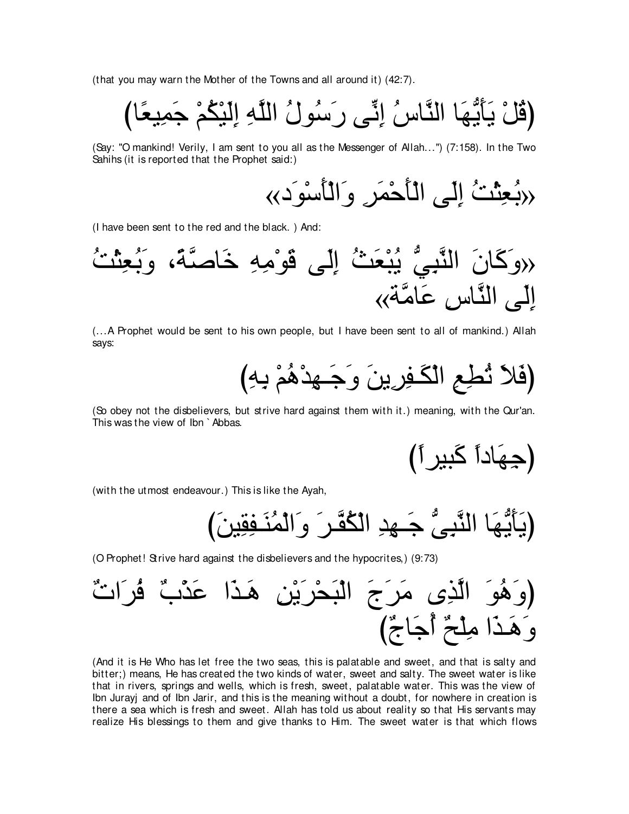(that you may warn the Mother of the Towns and all around it) (42:7).

びゅ⇔バΒ⌒ヨ∠ィ ∇ユ⊥ム∇Β∠ャ⌒ま ⌒ヮzヤャや ⊥メヲ⊥シ∠ケ ヴあル⌒ま ⊥サゅzレャや ゅ∠ヰぁΑ∠ほ∠Α ∇モ⊥ホぴ

(Say: "O mankind! Verily, I am sent to you all as the Messenger of Allah...'') (7:158). In the Two Sahihs (it is reported that the Prophet said:)

«キ∠ヲ∇シ∠ほ∇ャや∠ヱ ⌒ゲ∠ヨ∇ェ∠ほ∇ャや ヴ∠ャ⌒ま ⊥ろ∇ん⌒バ⊥よ»

(I have been sent to the red and the black. ) And:



(...A Prophet would be sent to his own people, but I have been sent to all of mankind.) Allah says:

び⌒ヮ⌒よ ∇ユ⊥ワ∇ギ⌒ヰ⇒∠ィ∠ヱ ∠リΑ⌒ゲ⌒ヘ⇒∠ム∇ャや ⌒ノ⌒ト⊥ゎ ∠Κ∠プぴ

(So obey not the disbelievers, but strive hard against them with it.) meaning, with the Qur'an. This was the view of Ibn ` Abbas.

び⇔やゲΒら∠ミ ⇔やキゅ∠ヰ⌒ィぴ

(with the utmost endeavour.) This is like the Ayah,

び∠リΒ⌒ボ⌒ヘ⇒∠レ⊥ヨ∇ャや∠ヱ ∠ゲ⇒zヘ⊥ム∇ャや ⌒ギ⌒ヰ⇒∠ィ ぁヴ⌒らzレャや ゅ∠ヰぁΑ∠ほ∠Αぴ

(O Prophet! Strive hard against the disbelievers and the hypocrites,) (9:73)

∀れや∠ゲ⊥プ ∀ゆ∇グ∠ハ や∠グ⇒∠ワ ⌒リ∇Α∠ゲ∇エ∠ら∇ャや ∠ァ∠ゲ∠ョ ン⌒グzャや ∠ヲ⊥ワ∠ヱぴ び∀ァゅ∠ィ⊥ぺ ∀ウ∇ヤ⌒ョ や∠グ⇒∠ワ∠ヱ

(And it is He Who has let free the two seas, this is palatable and sweet, and that is salty and bitter;) means, He has created the two kinds of water, sweet and salty. The sweet water is like that in rivers, springs and wells, which is fresh, sweet, palatable water. This was the view of Ibn Jurayj and of Ibn Jarir, and this is the meaning without a doubt, for nowhere in creation is there a sea which is fresh and sweet. Allah has told us about reality so that His servants may realize His blessings to them and give thanks to Him. The sweet water is that which flows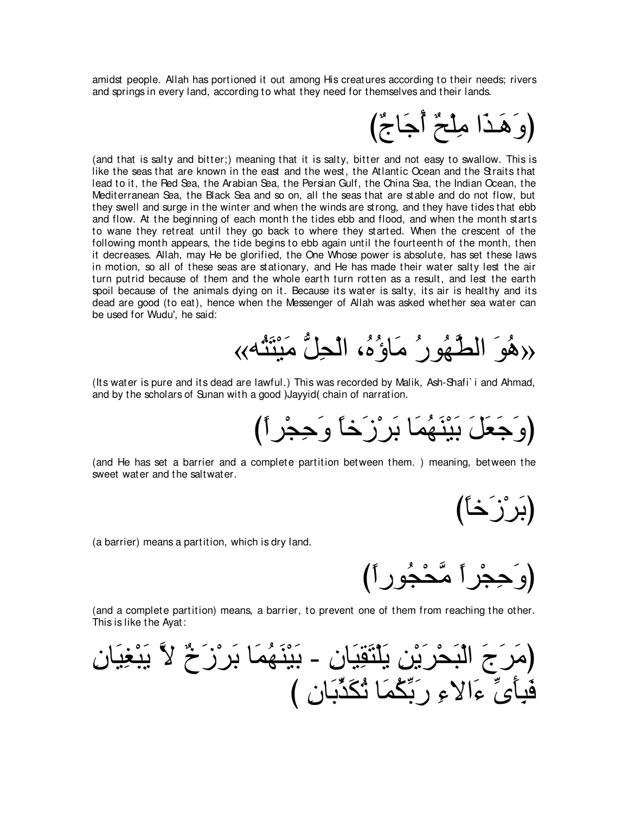amidst people. Allah has portioned it out among His creatures according to their needs; rivers and springs in every land, according to what they need for themselves and their lands.



(and that is salty and bitter;) meaning that it is salty, bitter and not easy to swallow. This is like the seas that are known in the east and the west, the Atlantic Ocean and the Straits that lead to it, the Red Sea, the Arabian Sea, the Persian Gulf, the China Sea, the Indian Ocean, the Mediterranean Sea, the Black Sea and so on, all the seas that are stable and do not flow, but they swell and surge in the winter and when the winds are strong, and they have tides that ebb and flow. At the beginning of each month the tides ebb and flood, and when the month starts to wane they retreat until they go back to where they started. When the crescent of the following month appears, the tide begins to ebb again until the fourteenth of the month, then it decreases. Allah, may He be glorified, the One Whose power is absolute, has set these laws in motion, so all of these seas are stationary, and He has made their water salty lest the air turn putrid because of them and the whole earth turn rotten as a result, and lest the earth spoil because of the animals dying on it. Because its water is salty, its air is healthy and its dead are good (to eat), hence when the Messenger of Allah was asked whether sea water can be used for Wudu', he said:

«هُوَ الطَّهُورُ مَاوُهُ، الْحِلُّ مَيْتَشُهِ»

(Its water is pure and its dead are lawful.) This was recorded by Malik, Ash-Shafi` i and Ahmad, and by the scholars of Sunan with a good )Jayyid (chain of narration.

(وَجَعَلَ بَيْنَهُمَا بَرِرْزَخا وَحِجْرٍاً)

(and He has set a barrier and a complete partition between them. ) meaning, between the sweet water and the saltwater.

(بَر ْزَخَا)

(a barrier) means a partition, which is dry land.

(وَ جِجْر أ} صَّحْجُو ر أ

(and a complete partition) means, a barrier, to prevent one of them from reaching the other. This is like the Ayat:

⌒ラゅ∠Β⌒ピ∇ら∠Α zΙ ∀ォ∠コ∇ゲ∠よ ゅ∠ヨ⊥ヰ∠レ∇Β∠よ - ⌒ラゅ∠Β⌒ボ∠わ∇ヤ∠Α ⌒リ∇Α∠ゲ∇エ∠ら∇ャや ∠ァ∠ゲ∠ョぴ び ⌒ラゅ∠よあグ∠ム⊥ゎ ゅ∠ヨ⊥ムあよ∠ケ ⌒¬Ιや∠¬ あン∠ほ⌒ら∠プ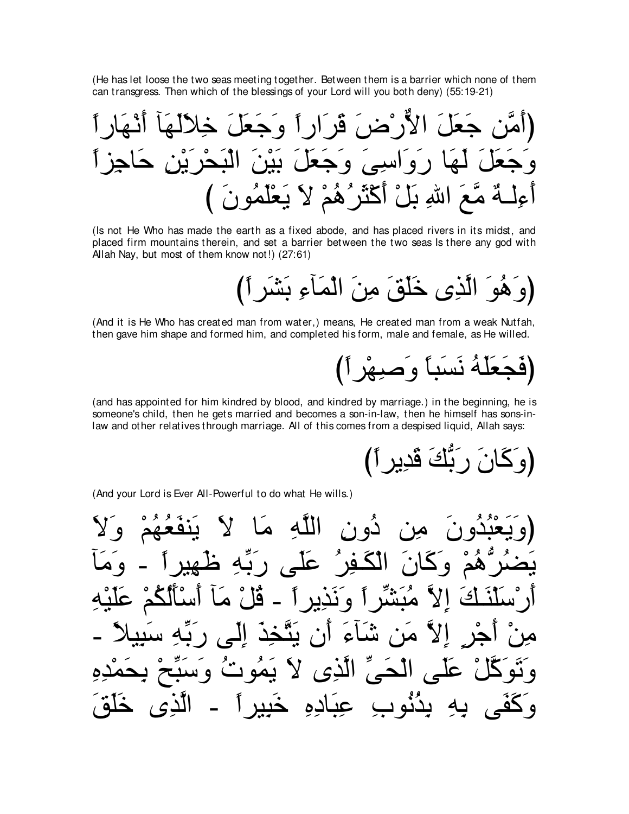(He has let loose the two seas meeting together. Between them is a barrier which none of them can transgress. Then which of the blessings of your Lord will you both deny) (55:19-21)

(Is not He Who has made the earth as a fixed abode, and has placed rivers in its midst, and placed firm mountains therein, and set a barrier between the two seas Is there any god with Allah Nay, but most of them know not!) (27:61)

(وَهُوَ الَّذِي خَلَقَ مِنَ الْمَأْءِ بَشَرٍ أَ)

(And it is He Who has created man from water,) means, He created man from a weak Nutfah, then gave him shape and formed him, and completed his form, male and female, as He willed.

# (فَجَعَلَهُ نَسَبًا وَصَبِهْرٍ أَ)

(and has appointed for him kindred by blood, and kindred by marriage.) in the beginning, he is someone's child, then he gets married and becomes a son-in-law, then he himself has sons-inlaw and other relatives through marriage. All of this comes from a despised liquid, Allah says:

نَ رَبِّكَ قَدِيرِ أَ)

(And your Lord is Ever All-Powerful to do what He wills.)

الله ۱ تمه الكفث ظهد على ١à ندىد ء ان علي الحيّ الَّذِي لا نمو د  $\bullet$ الدي يِدُنُو بِ عِبادِهِ و کف خىد ىە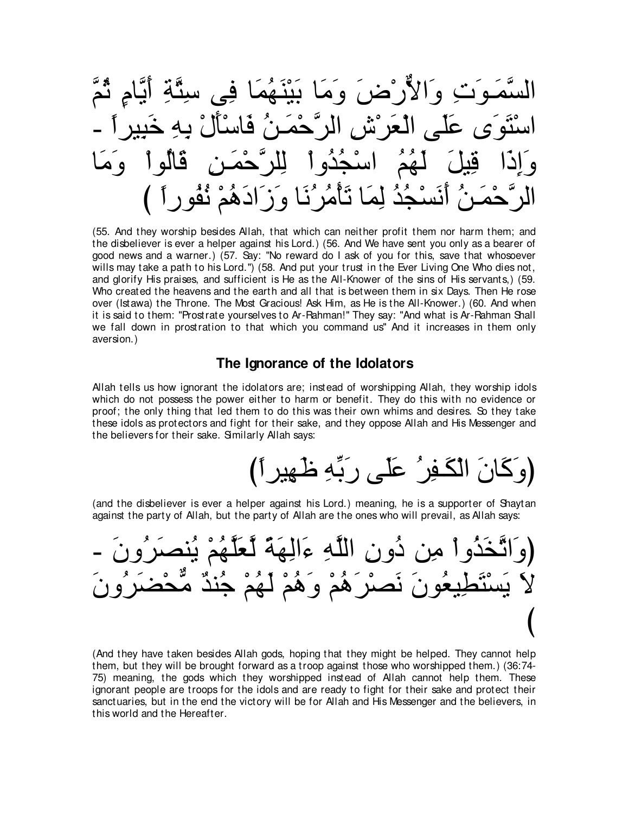zユ⊥を ∃ュゅzΑ∠ぺ ⌒るzわ⌒シ ヴ⌒プ ゅ∠ヨ⊥ヰ∠レ∇Β∠よ ゅ∠ョ∠ヱ ∠チ∇ケxΙや∠ヱ ⌒れ∠ヲ⇒∠ヨzジャや - ⇔やゲΒ⌒ら∠カ ⌒ヮ⌒よ ∇メ∠ほ∇シゅ∠プ ⊥リ⇒∠ヨ∇ェzゲャや ⌒ス∇ゲ∠バ∇ャや ヴ∠ヤ∠ハ ン∠ヲ∠わ∇シや ゅ∠ョ∠ヱ ∇やヲ⊥ャゅ∠ホ ⌒リ⇒∠ヨ∇ェzゲヤ⌒ャ ∇やヱ⊥ギ⊥イ∇シや ⊥ユ⊥ヰ∠ャ ∠モΒ⌒ホ や∠ク⌒ま∠ヱ び ⇔やケヲ⊥ヘ⊥ル ∇ユ⊥ワ∠キや∠コ∠ヱ ゅ∠ル⊥ゲ⊥ョ∇ほ∠ゎ ゅ∠ヨ⌒ャ ⊥ギ⊥イ∇ジ∠ル∠ぺ ⊥リ⇒∠ヨ∇ェzゲャや

(55. And they worship besides Allah, that which can neither profit them nor harm them; and the disbeliever is ever a helper against his Lord.) (56. And We have sent you only as a bearer of good news and a warner.) (57. Say: "No reward do I ask of you for this, save that whosoever wills may take a path to his Lord.'') (58. And put your trust in the Ever Living One Who dies not, and glorify His praises, and sufficient is He as the All-Knower of the sins of His servants,) (59. Who created the heavens and the earth and all that is between them in six Days. Then He rose over (Istawa) the Throne. The Most Gracious! Ask Him, as He is the All-Knower.) (60. And when it is said to them: "Prostrate yourselves to Ar-Rahman!'' They say: "And what is Ar-Rahman Shall we fall down in prostration to that which you command us'' And it increases in them only aversion.)

### **The Ignorance of the Idolators**

Allah tells us how ignorant the idolators are; instead of worshipping Allah, they worship idols which do not possess the power either to harm or benefit. They do this with no evidence or proof; the only thing that led them to do this was their own whims and desires. So they take these idols as protectors and fight for their sake, and they oppose Allah and His Messenger and the believers for their sake. Similarly Allah says:

び⇔やゲΒ⌒ヰ∠ニ ⌒ヮあよ∠ケ ヴ∠ヤ∠ハ ⊥ゲ⌒ヘ⇒∠ム∇ャや ∠ラゅ∠ミ∠ヱぴ

(and the disbeliever is ever a helper against his Lord.) meaning, he is a supporter of Shaytan against the party of Allah, but the party of Allah are the ones who will prevail, as Allah says:

خذَوا مِن دُون اللّهِ ءَالِـهَة لْعَلَّـهُمْ دُ يَسْتَطِيعُونَ نَصْرَهُمْ وَهُمْ لَهُـ び

(And they have taken besides Allah gods, hoping that they might be helped. They cannot help them, but they will be brought forward as a troop against those who worshipped them.) (36:74- 75) meaning, the gods which they worshipped instead of Allah cannot help them. These ignorant people are troops for the idols and are ready to fight for their sake and protect their sanctuaries, but in the end the victory will be for Allah and His Messenger and the believers, in this world and the Hereafter.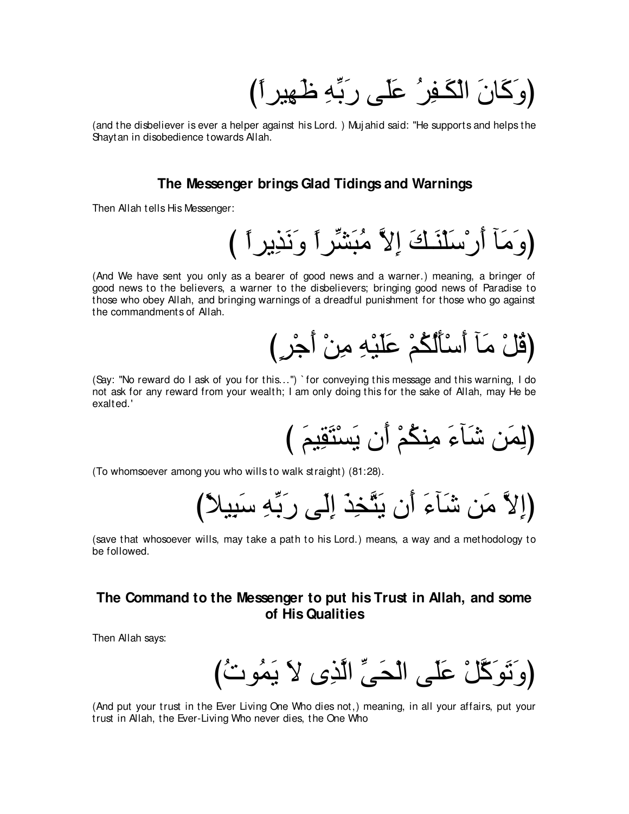(وَكَانَ الْكَـفِرُ ۚ عَلَى رَبِّهِ ظَهِيرٍ أَ ﴾

(and the disbeliever is ever a helper against his Lord.) Mujahid said: "He supports and helps the Shaytan in disobedience towards Allah.

### The Messenger brings Glad Tidings and Warnings

Then Allah tells His Messenger:

# (وَمَأَ أَرْسَلَنَكَ إِلاَّ مُبَشِّرٍ أَ وَنَذِيرٍ أَ )

(And We have sent you only as a bearer of good news and a warner.) meaning, a bringer of good news to the believers, a warner to the disbelievers; bringing good news of Paradise to those who obey Allah, and bringing warnings of a dreadful punishment for those who go against the commandments of Allah.

# (قُلْ مَآ أَسْأَلُكُمْ عَلَيْهِ مِنْ أَجْرٍ )

(Say: "No reward do I ask of you for this...") `for conveying this message and this warning, I do not ask for any reward from your wealth; I am only doing this for the sake of Allah, may He be exalted.'

(To whomsoever among you who wills to walk straight) (81:28).

(save that whosoever wills, may take a path to his Lord.) means, a way and a methodology to be followed.

### The Command to the Messenger to put his Trust in Allah, and some of His Qualities

Then Allah says:

(And put your trust in the Ever Living One Who dies not,) meaning, in all your affairs, put your trust in Allah, the Ever-Living Who never dies, the One Who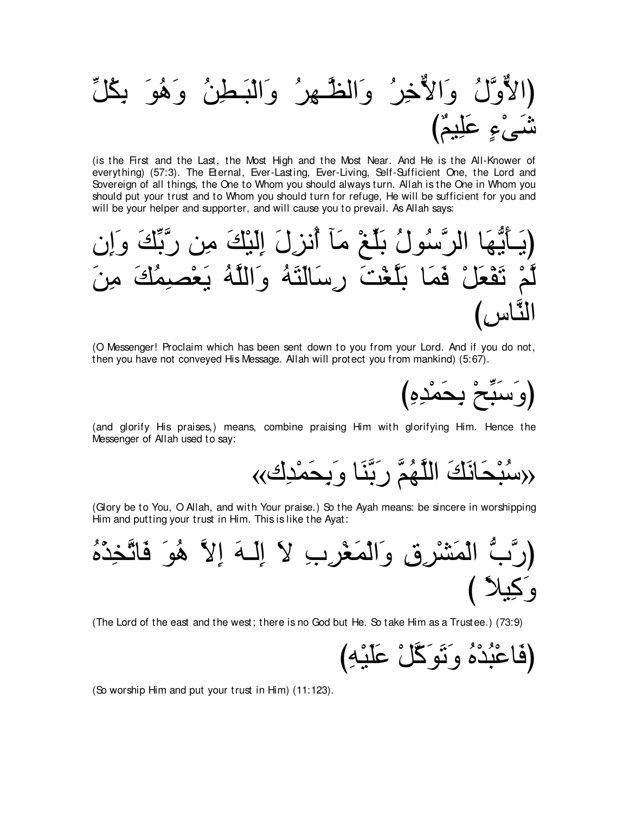(is the First and the Last, the Most High and the Most Near. And He is the All-Knower of everything) (57:3). The Eternal, Ever-Lasting, Ever-Living, Self-Sufficient One, the Lord and Sovereign of all things, the One to Whom you should always turn. Allah is the One in Whom you should put your trust and to Whom you should turn for refuge, He will be sufficient for you and will be your helper and supporter, and will cause you to prevail. As Allah says:

(O Messenger! Proclaim which has been sent down to you from your Lord. And if you do not, then you have not conveyed His Message. Allah will protect you from mankind) (5:67).

(وَسَبِّحْ بِحَمْدِهِ)

(and glorify His praises,) means, combine praising Him with glorifying Him. Hence the Messenger of Allah used to say:

(Glory be to You, O Allah, and with Your praise.) So the Ayah means: be sincere in worshipping Him and putting your trust in Him. This is like the Ayat:



(The Lord of the east and the west; there is no God but He. So take Him as a Trustee.) (73:9)

(So worship Him and put your trust in Him) (11:123).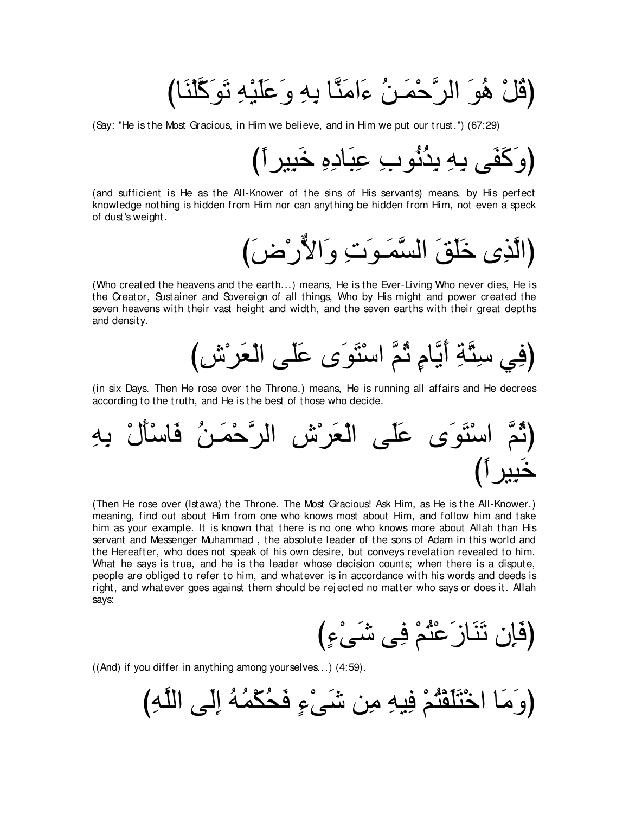(قُلْ هُوَ الرَّحْمَـنُ ءَامَنَّا بِهِ و<sup>َ</sup>عَلَيْهِ نَوَكَّلنَا)

(Say: "He is the Most Gracious, in Him we believe, and in Him we put our trust.'') (67:29)

び⇔やゲΒ⌒ら∠カ ⌒ロ⌒キゅ∠ら⌒ハ ⌒ゆヲ⊥ル⊥グ⌒よ ⌒ヮ⌒よ ヴ∠ヘ∠ミ∠ヱぴ

(and sufficient is He as the All-Knower of the sins of His servants) means, by His perfect knowledge nothing is hidden from Him nor can anything be hidden from Him, not even a speck of dust's weight.

び∠チ∇ケxΙや∠ヱ ⌒れ∠ヲ⇒∠ヨzジャや ∠ペ∠ヤ∠カ ン⌒グzャやぴ

(Who created the heavens and the earth...) means, He is the Ever-Living Who never dies, He is the Creator, Sustainer and Sovereign of all things, Who by His might and power created the seven heavens with their vast height and width, and the seven earths with their great depths and density.



(in six Days. Then He rose over the Throne.) means, He is running all affairs and He decrees according to the truth, and He is the best of those who decide.



(Then He rose over (Istawa) the Throne. The Most Gracious! Ask Him, as He is the All-Knower.) meaning, find out about Him from one who knows most about Him, and follow him and take him as your example. It is known that there is no one who knows more about Allah than His servant and Messenger Muhammad , the absolute leader of the sons of Adam in this world and the Hereafter, who does not speak of his own desire, but conveys revelation revealed to him. What he says is true, and he is the leader whose decision counts; when there is a dispute, people are obliged to refer to him, and whatever is in accordance with his words and deeds is right, and whatever goes against them should be rej ected no matter who says or does it. Allah says:

び∃¬∇ヴ∠セ ヴ⌒プ ∇ユ⊥わ∇ハ∠コゅ∠レ∠ゎ ラ⌒み∠プぴ

((And) if you differ in anything among yourselves...) (4:59).

び⌒ヮzヤャや ヴ∠ャ⌒ま ⊥ヮ⊥ヨ∇ム⊥エ∠プ ∃¬∇ヴ∠セ リ⌒ョ ⌒ヮΒ⌒プ ∇ユ⊥わ∇ヘ∠ヤ∠わ∇カや ゅ∠ョ∠ヱぴ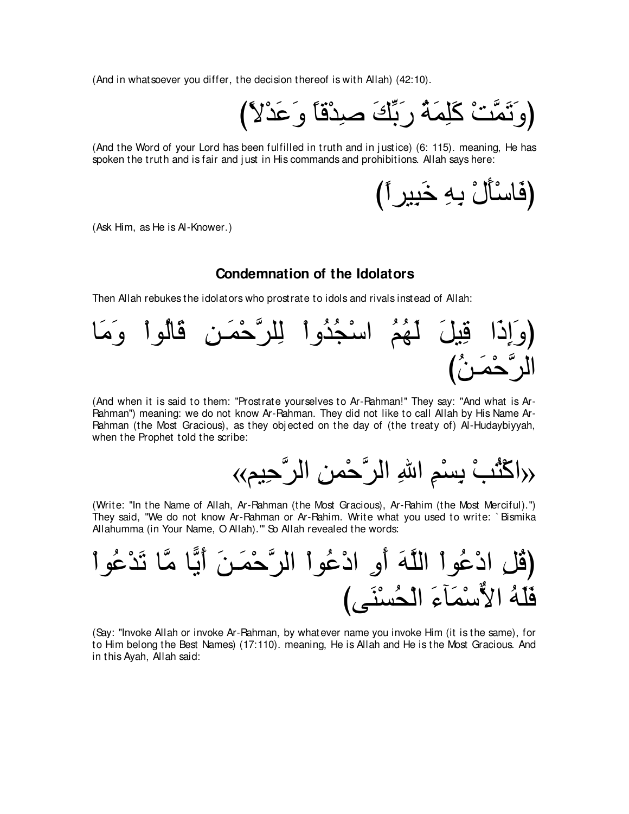(And in whatsoever you differ, the decision thereof is with Allah) (42:10).

び⇔Ι∇ギ∠ハ∠ヱ ⇔ゅホ∇ギ⌒タ ∠マあよ∠ケ ⊥る∠ヨ⌒ヤ∠ミ ∇ろzヨ∠ゎ∠ヱぴ

(And the Word of your Lord has been fulfilled in truth and in justice) (6: 115). meaning, He has spoken the truth and is fair and just in His commands and prohibitions. Allah says here:

び⇔やゲΒ⌒ら∠カ ⌒ヮ⌒よ ∇メ∠ほ∇シゅ∠プぴ

(Ask Him, as He is Al-Knower.)

# **Condemnation of the Idolators**

Then Allah rebukes the idolators who prostrate to idols and rivals instead of Allah:



(And when it is said to them: "Prostrate yourselves to Ar-Rahman!'' They say: "And what is Ar-Rahman'') meaning: we do not know Ar-Rahman. They did not like to call Allah by His Name Ar-Rahman (the Most Gracious), as they obj ected on the day of (the treaty of) Al-Hudaybiyyah, when the Prophet told the scribe:

«ユΒ⌒ェzゲャや ⌒リヨ∇ェzゲャや ⌒ぶや ⌒ユ∇ジ⌒よ ∇ょ⊥わ∇ミや»

(Write: "In the Name of Allah, Ar-Rahman (the Most Gracious), Ar-Rahim (the Most Merciful).'') They said, "We do not know Ar-Rahman or Ar-Rahim. Write what you used to write: ` Bismika Allahumma (in Your Name, O Allah)."' So Allah revealed the words:

∇やヲ⊥ハ∇ギ∠ゎ ゅzョ ゅ6Α∠ぺ ∠リ⇒∠ヨ∇ェzゲャや ∇やヲ⊥ハ∇キや ⌒ヱ∠ぺ ∠ヮzヤャや ∇やヲ⊥ハ∇キや ⌒モ⊥ホぴ びヴ∠レ∇ジ⊥エ∇ャや ∠¬べ∠ヨ∇シxΙや ⊥ヮ∠ヤ∠プ

(Say: "Invoke Allah or invoke Ar-Rahman, by whatever name you invoke Him (it is the same), for to Him belong the Best Names) (17:110). meaning, He is Allah and He is the Most Gracious. And in this Ayah, Allah said: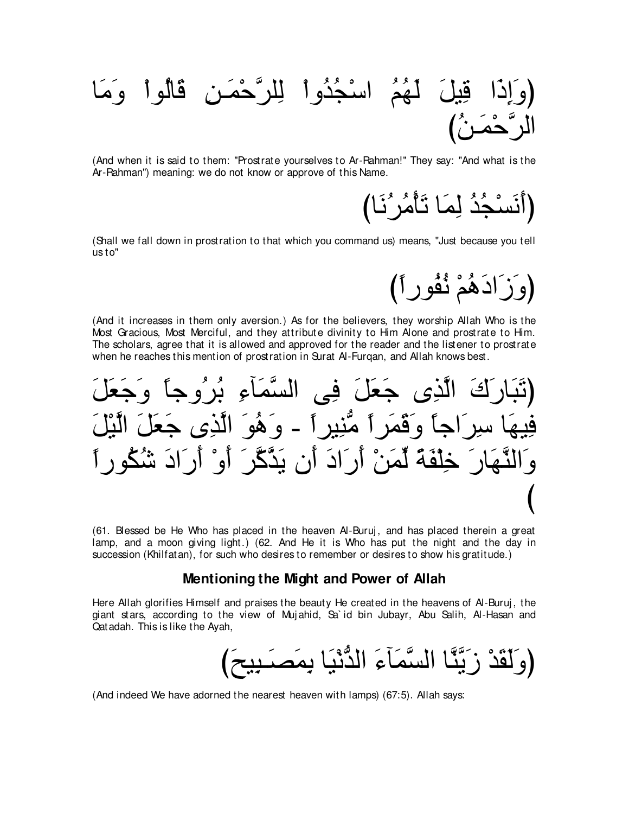**َلَـهُمُ اسْجُدُواْ لِلرَّحْمَـنِ قَالُواْ** وَمَ الرَّحْمَـٰنُ)

(And when it is said to them: "Prostrate yourselves to Ar-Rahman!'' They say: "And what is the Ar-Rahman'') meaning: we do not know or approve of this Name.

(أَنَسْجُدُ لِمَا تَأْمُرٍ^نَا)

(Shall we fall down in prostration to that which you command us) means, "Just because you tell us to''

(وَزَادَهُمْ نُفُورٍ أَ)

(And it increases in them only aversion.) As for the believers, they worship Allah Who is the Most Gracious, Most Merciful, and they attribute divinity to Him Alone and prostrate to Him. The scholars, agree that it is allowed and approved for the reader and the listener to prostrate when he reaches this mention of prostration in Surat Al-Furqan, and Allah knows best.

كَ الَّذِي جَعَلَ فِي السَّمَآءِ بُر′ُو جاً وَ جَعَ فِيهَا سِرِ اجاً وكَفَّرَ ا مُّنِير أ - و َهُوَ الَّذِي جَعَلَ الَّيْا وَ النَّصَارِ ۖ خِلْفَةً لِّمَنْ أَرِ الَّ أَنِ بَدَّكَّرٍ ۖ أَوْ أَرِ الَّ شَكُو び

(61. Blessed be He Who has placed in the heaven Al-Buruj, and has placed therein a great lamp, and a moon giving light.) (62. And He it is Who has put the night and the day in succession (Khilfatan), for such who desires to remember or desires to show his gratitude.)

### **Mentioning the Might and Power of Allah**

Here Allah glorifies Himself and praises the beauty He created in the heavens of Al-Buruj, the giant stars, according to the view of Muj ahid, Sa` id bin Jubayr, Abu Salih, Al-Hasan and Qatadah. This is like the Ayah,

(وَ لَقَدْ زَ رَبَّنَّا السَّمَآءَ الدَّنْدَا بمَصدَبيد

(And indeed We have adorned the nearest heaven with lamps) (67:5). Allah says: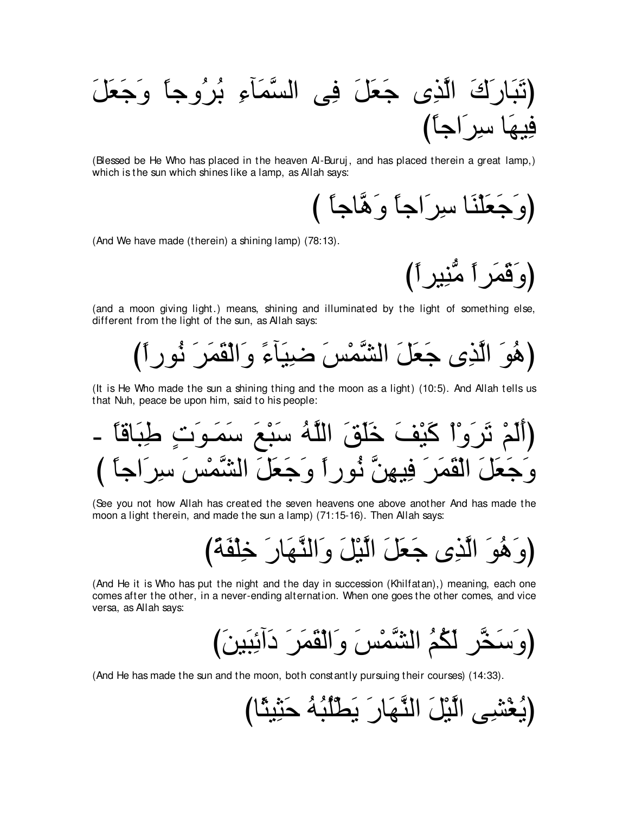∠モ∠バ∠ィ∠ヱ ⇔ゅィヱ⊥ゲ⊥よ ⌒¬べ∠ヨzジャや ヴ⌒プ ∠モ∠バ∠ィ ン⌒グzャや ∠ポ∠ケゅ∠ら∠ゎぴ び⇔ゅィや∠ゲ⌒シ ゅ∠ヰΒ⌒プ

(Blessed be He Who has placed in the heaven Al-Buruj, and has placed therein a great lamp,) which is the sun which shines like a lamp, as Allah says:

(وَجَعَلْنَا سِرَاجاً وَهَّاجاً )

(And We have made (therein) a shining lamp) (78:13).

(وَقَمَر أَ)

(and a moon giving light.) means, shining and illuminated by the light of something else, different from the light of the sun, as Allah says:

(هُوَ الَّذِي جَعَلَ الشَّمْسَ ضيبَآءً وَالْقَمَرَ نُوراً)

(It is He Who made the sun a shining thing and the moon as a light) (10:5). And Allah tells us that Nuh, peace be upon him, said to his people:

- ⇔ゅホゅ∠ら⌒デ ∃れ∠ヲ⇒∠ヨ∠シ ∠ノ∇ら∠シ ⊥ヮzヤャや ∠ペ∠ヤ∠カ ∠ブ∇Β∠ミ ∇や∇ヱ∠ゲ∠ゎ ∇ユ∠ャ∠ぺぴ び ⇔ゅィや∠ゲ⌒シ ∠ザ∇ヨzゼャや ∠モ∠バ∠ィ∠ヱ ⇔やケヲ⊥ル zリ⌒ヰΒ⌒プ ∠ゲ∠ヨ∠ボ∇ャや ∠モ∠バ∠ィ∠ヱ

(See you not how Allah has created the seven heavens one above another And has made the moon a light therein, and made the sun a lamp) (71:15-16). Then Allah says:

び⇔る∠ヘ∇ヤ⌒カ ∠ケゅ∠ヰzレャや∠ヱ ∠モ∇Βzャや ∠モ∠バ∠ィ ン⌒グzャや ∠ヲ⊥ワ∠ヱぴ

(And He it is Who has put the night and the day in succession (Khilfatan),) meaning, each one comes after the other, in a never-ending alternation. When one goes the other comes, and vice versa, as Allah says:

び∠リΒ∠ら⌒もへ∠キ ∠ゲ∠ヨ∠ボ∇ャや∠ヱ ∠ザ∇ヨzゼャや ⊥ユ⊥ム∠ャ ゲzガ∠シ∠ヱぴ

(And He has made the sun and the moon, both constantly pursuing their courses) (14:33).

びゅ⇔んΒ⌒ん∠ェ ⊥ヮ⊥ら⊥ヤ∇ト∠Α ∠ケゅ∠ヰzレャや ∠モ∇Βzャや ヴ⌒ゼ∇ピ⊥Αぴ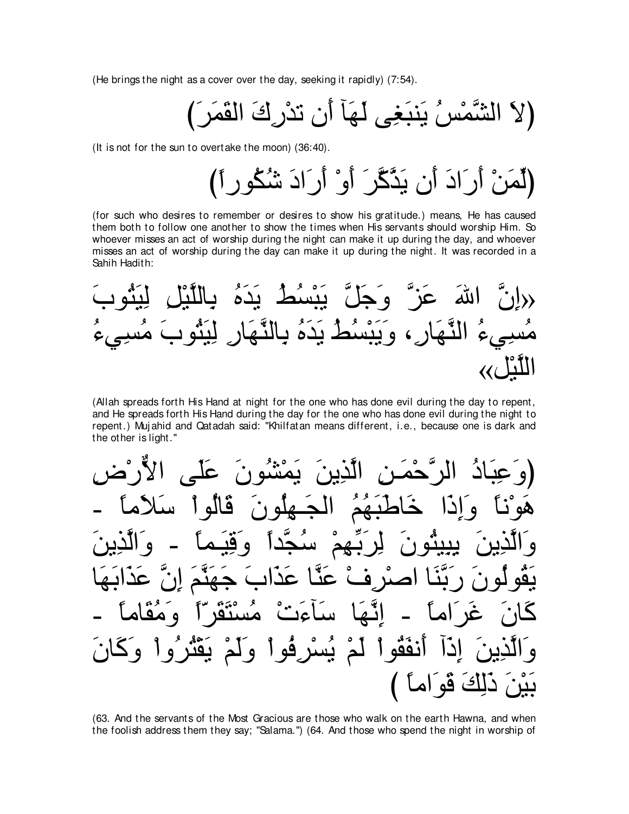(He brings the night as a cover over the day, seeking it rapidly) (7:54).

(It is not for the sun to overtake the moon) (36:40).

(for such who desires to remember or desires to show his gratitude.) means, He has caused them both to follow one another to show the times when His servants should worship Him. So whoever misses an act of worship during the night can make it up during the day, and whoever misses an act of worship during the day can make it up during the night. It was recorded in a Sahih Hadith:

(Allah spreads forth His Hand at night for the one who has done evil during the day to repent, and He spreads forth His Hand during the day for the one who has done evil during the night to repent.) Mujahid and Qatadah said: "Khilfatan means different, i.e., because one is dark and the other is light."

(63. And the servants of the Most Gracious are those who walk on the earth Hawna, and when the foolish address them they say; "Salama.") (64. And those who spend the night in worship of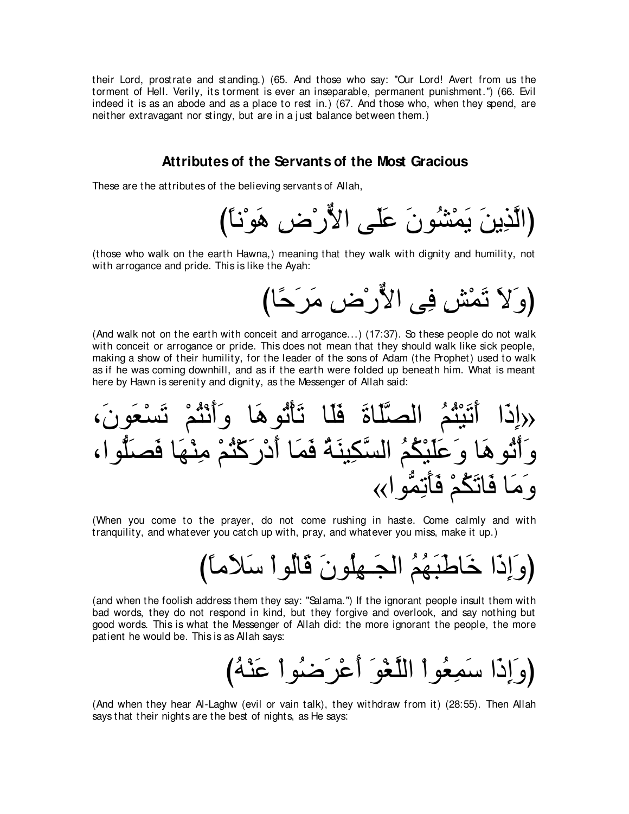their Lord, prostrate and standing.) (65. And those who say: "Our Lord! Avert from us the torment of Hell. Verily, its torment is ever an inseparable, permanent punishment.'') (66. Evil indeed it is as an abode and as a place to rest in.) (67. And those who, when they spend, are neither extravagant nor stingy, but are in a j ust balance between them.)

### **Attributes of the Servants of the Most Gracious**

These are the attributes of the believing servants of Allah,

(الَّذِينَ يَمْشُونَ عَلَى الأُّرْض هَوْنَا)

(those who walk on the earth Hawna,) meaning that they walk with dignity and humility, not with arrogance and pride. This is like the Ayah:

びゅ⇔ェ∠ゲ∠ョ ⌒チ∇ケxΙや ヴ⌒プ ⌒ズ∇ヨ∠ゎ ∠Ι∠ヱぴ

(And walk not on the earth with conceit and arrogance...) (17:37). So these people do not walk with conceit or arrogance or pride. This does not mean that they should walk like sick people, making a show of their humility, for the leader of the sons of Adam (the Prophet) used to walk as if he was coming downhill, and as if the earth were folded up beneath him. What is meant here by Hawn is serenity and dignity, as the Messenger of Allah said:

∩∠ラヲ∠バ∇ジ∠ゎ ∇ユ⊥わ∇ル∠ぺ∠ヱ ゅ∠ワヲ⊥ゎ∇ほ∠ゎ ゅ∠ヤ∠プ ∠りゅ∠ヤzダャや ⊥ユ⊥わ∇Β∠ゎ∠ぺ や∠ク⌒ま» ∩やヲぁヤ∠ダ∠プ ゅ∠ヰ∇レ⌒ョ ∇ユ⊥わ∇ミ∠ケ∇キ∠ぺ ゅ∠ヨ∠プ ⊥る∠レΒ⌒ムzジャや ⊥ユ⊥ム∇Β∠ヤ∠ハ∠ヱ ゅ∠ワヲ⊥ゎ∇ぺ∠ヱ «やヲぁヨ⌒ゎ∠ほ∠プ ∇ユ⊥ム∠ゎゅ∠プ ゅ∠ョ∠ヱ

(When you come to the prayer, do not come rushing in haste. Come calmly and with tranquility, and whatever you catch up with, pray, and whatever you miss, make it up.)

び⇔ゅョ∠Κ∠シ ∇やヲ⊥ャゅ∠ホ ∠ラヲ⊥ヤ⌒ヰ⇒∠イャや ⊥ユ⊥ヰ∠ら∠デゅ∠カ や∠ク⌒ま∠ヱぴ

(and when the foolish address them they say: "Salama.'') If the ignorant people insult them with bad words, they do not respond in kind, but they forgive and overlook, and say nothing but good words. This is what the Messenger of Allah did: the more ignorant the people, the more patient he would be. This is as Allah says:

び⊥ヮ∇レ∠ハ ∇やヲ⊥ッ∠ゲ∇ハ∠ぺ ∠ヲ∇ピzヤャや ∇やヲ⊥バ⌒ヨ∠シ や∠ク⌒ま∠ヱぴ

(And when they hear Al-Laghw (evil or vain talk), they withdraw from it) (28:55). Then Allah says that their nights are the best of nights, as He says: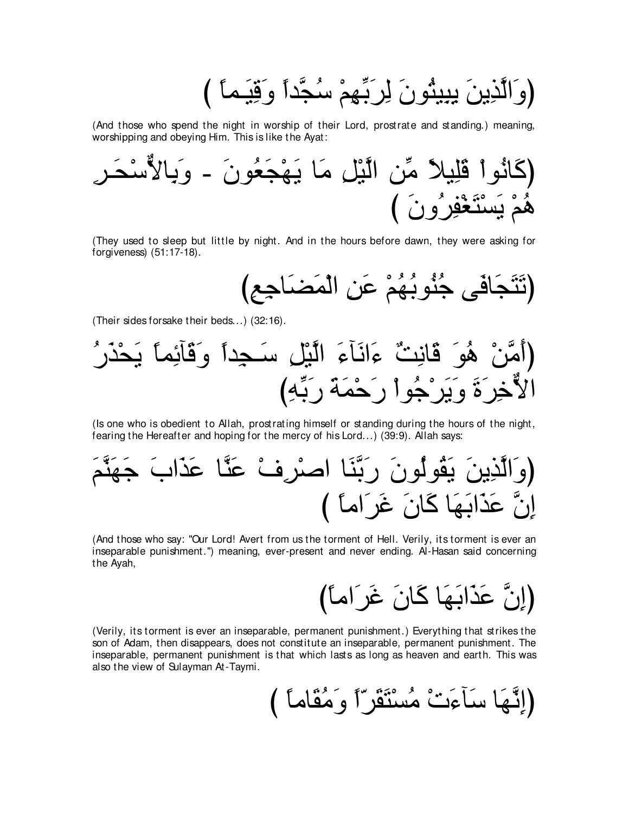(وَالَّذِينَ يِبِيئُونَ لِرَبِّهِمْ سُجَّداً وَقِيَـماً )

(And those who spend the night in worship of their Lord, prostrate and standing.) meaning, worshipping and obeying Him. This is like the Ayat:



(They used to sleep but little by night. And in the hours before dawn, they were asking for forgiveness)  $(51:17-18)$ .

(Their sides forsake their beds...) (32:16).



(Is one who is obedient to Allah, prostrating himself or standing during the hours of the night, fearing the Hereafter and hoping for the mercy of his Lord...) (39:9). Allah says:

(And those who say: "Our Lord! Avert from us the torment of Hell. Verily, its torment is ever an inseparable punishment.") meaning, ever-present and never ending. Al-Hasan said concerning the Ayah,

(Verily, its torment is ever an inseparable, permanent punishment.) Everything that strikes the son of Adam, then disappears, does not constitute an inseparable, permanent punishment. The inseparable, permanent punishment is that which lasts as long as heaven and earth. This was also the view of Sulayman At-Taymi.

(إِنَّهَا سَأَءَنْ مُسْتَقَرّاً وَمُقَاماً )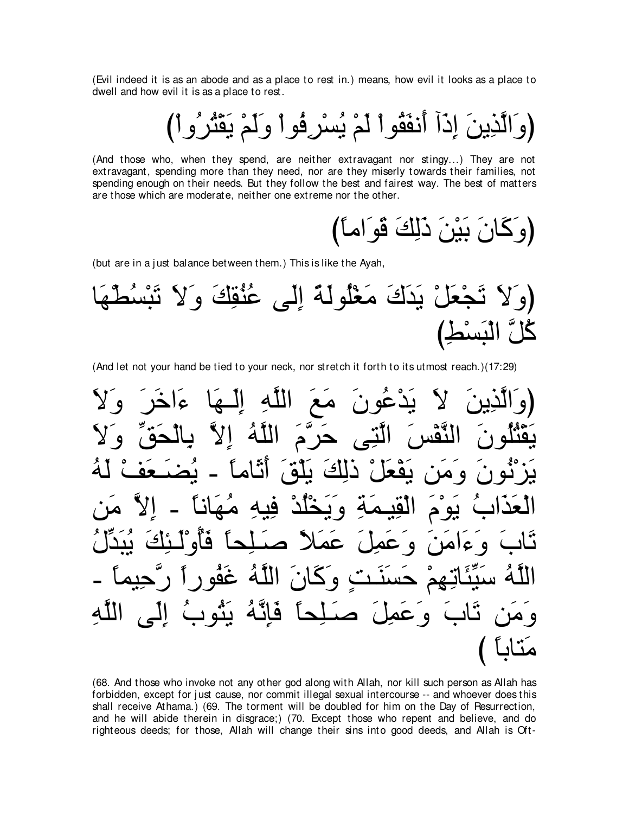(Evil indeed it is as an abode and as a place to rest in.) means, how evil it looks as a place to dwell and how evil it is as a place to rest.

(وَالَّذِينَ إِذَآ أَنفَقُواْ لَمْ يُسْرِفُواْ وَلَمْ يَقْثُرُواْ)

(And those who, when they spend, are neither extravagant nor stingy...) They are not extravagant, spending more than they need, nor are they miserly towards their families, not spending enough on their needs. But they follow the best and fairest way. The best of matters are those which are moderate, neither one extreme nor the other.

(وَكَانَ بَيْنَ ذَلِكَ قَو<sup>َ</sup>اماً)

(but are in a just balance between them.) This is like the Ayah,

ゅ∠ヰ∇ト⊥ジ∇ら∠ゎ ∠Ι∠ヱ ∠マ⌒ボ⊥レ⊥ハ ヴ∠ャ⌒ま ⇔る∠ャヲ⊥ヤ∇ピ∠ョ ∠ポ∠ギ∠Α ∇モ∠バ∇イ∠ゎ ∠Ι∠ヱぴ び⌒テ∇ジ∠ら∇ャや zモ⊥ミ

(And let not your hand be tied to your neck, nor stretch it forth to its utmost reach.)(17:29)

∠Ι∠ヱ ∠ゲ∠カや∠¬ ゅ∠ヰ⇒∠ャ⌒ま ⌒ヮzヤャや ∠ノ∠ョ ∠ラヲ⊥ハ∇ギ∠Α ∠Ι ∠リΑ⌒グzャや∠ヱぴ ∠Ι∠ヱ あペ∠エ∇ャゅ⌒よ zΙ⌒ま ⊥ヮzヤャや ∠ュzゲ∠ェ ヴ⌒わzャや ∠ザ∇ヘzレャや ∠ラヲ⊥ヤ⊥わ∇ボ∠Α ⊥ヮ∠ャ ∇ブ∠バ⇒∠ツ⊥Α - ⇔ゅョゅ∠を∠ぺ ∠ペ∇ヤ∠Α ∠マ⌒ャク ∇モ∠バ∇ヘ∠Α リ∠ョ∠ヱ ∠ラヲ⊥ル∇ゴ∠Α リ∠ョ zΙ⌒ま - ⇔ゅルゅ∠ヰ⊥ョ ⌒ヮΒ⌒プ ∇ギ⊥ヤ∇ガ∠Α∠ヱ ⌒る∠ヨ⇒Β⌒ボ∇ャや ∠ュ∇ヲ∠Α ⊥ゆや∠グ∠バ∇ャや ⊥メあギ∠ら⊥Α ∠マ⌒ゃ⇒∠ャ∇ヱ⊥ほ∠プ ⇔ゅエ⌒ヤ⇒∠タ ⇔Κ∠ヨ∠ハ ∠モ⌒ヨ∠ハ∠ヱ ∠リ∠ョや∠¬∠ヱ ∠ゆゅ∠ゎ - ⇔ゅヨΒ⌒ェzケ ⇔やケヲ⊥ヘ∠ビ ⊥ヮzヤャや ∠ラゅ∠ミ∠ヱ ∃ろ⇒∠レ∠ジ∠ェ ∇ユ⌒ヰ⌒ゎゅ∠ゃあΒ∠シ ⊥ヮzヤャや ⌒ヮzヤャや ヴ∠ャ⌒ま ⊥ゆヲ⊥わ∠Α ⊥ヮzル⌒み∠プ ⇔ゅエ⌒ヤ⇒∠タ ∠モ⌒ヨ∠ハ∠ヱ ∠ゆゅ∠ゎ リ∠ョ∠ヱ び ⇔ゅよゅわ∠ョ

(68. And those who invoke not any other god along with Allah, nor kill such person as Allah has forbidden, except for just cause, nor commit illegal sexual intercourse -- and whoever does this shall receive Athama.) (69. The torment will be doubled for him on the Day of Resurrection, and he will abide therein in disgrace;) (70. Except those who repent and believe, and do righteous deeds; for those, Allah will change their sins into good deeds, and Allah is Oft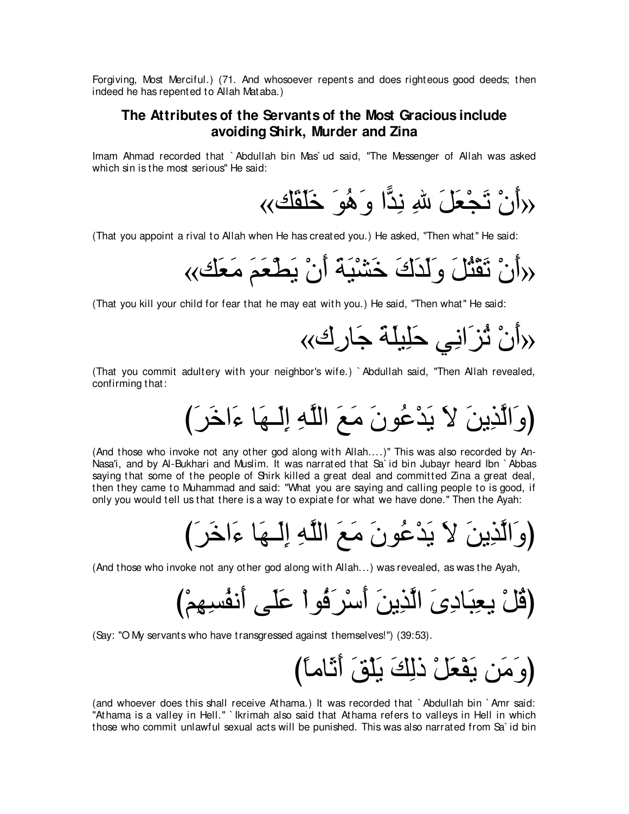Forgiving, Most Merciful.) (71. And whosoever repents and does righteous good deeds; then indeed he has repented to Allah Mataba.)

## **The Attributes of the Servants of the Most Gracious include avoiding Shirk, Murder and Zina**

Imam Ahmad recorded that ` Abdullah bin Mas` ud said, "The Messenger of Allah was asked which sin is the most serious'' He said:

«マ∠ボ∠ヤ∠カ ∠ヲ⊥ワ∠ヱ や6ギ⌒ル ⌒ぶ ∠モ∠バ∇イ∠ゎ ∇ラ∠ぺ»

(That you appoint a rival to Allah when He has created you.) He asked, "Then what'' He said:

«マ∠バ∠ョ ∠ユ∠バ∇ト∠Α ∇ラ∠ぺ ∠る∠Β∇ゼ∠カ ∠ポ∠ギ∠ャ∠ヱ ∠モ⊥わ∇ボ∠ゎ ∇ラ∠ぺ»

(That you kill your child for fear that he may eat with you.) He said, "Then what'' He said:

«ポ⌒ケゅ∠ィ ∠る∠ヤΒ⌒ヤ∠ェ ヶ⌒ルや∠ゴ⊥ゎ ∇ラ∠ぺ»

(That you commit adultery with your neighbor's wife.) ` Abdullah said, "Then Allah revealed, confirming that:

び∠ゲ∠カや∠¬ ゅ∠ヰ⇒∠ャ⌒ま ⌒ヮzヤャや ∠ノ∠ョ ∠ラヲ⊥ハ∇ギ∠Α ∠Ι ∠リΑ⌒グzャや∠ヱぴ

(And those who invoke not any other god along with Allah....)" This was also recorded by An-Nasa'i, and by Al-Bukhari and Muslim. It was narrated that Sa` id bin Jubayr heard Ibn ` Abbas saying that some of the people of Shirk killed a great deal and committed Zina a great deal, then they came to Muhammad and said: "What you are saying and calling people to is good, if only you would tell us that there is a way to expiate for what we have done.'' Then the Ayah:

び∠ゲ∠カや∠¬ ゅ∠ヰ⇒∠ャ⌒ま ⌒ヮzヤャや ∠ノ∠ョ ∠ラヲ⊥ハ∇ギ∠Α ∠Ι ∠リΑ⌒グzャや∠ヱぴ

(And those who invoke not any other god along with Allah...) was revealed, as was the Ayah,

び∇ユ⌒ヰ⌒ジ⊥ヘル∠ぺ ヴ∠ヤ∠ハ ∇やヲ⊥プ∠ゲ∇シ∠ぺ ∠リΑ⌒グzャや ∠ン⌒キゅ∠ら⌒バΑ ∇モ⊥ホぴ

(Say: "O My servants who have transgressed against themselves!'') (39:53).

び⇔ゅョゅ∠を∠ぺ ∠ペ∇ヤ∠Α ∠マ⌒ャク ∇モ∠バ∇ヘ∠Α リ∠ョ∠ヱぴ

(and whoever does this shall receive Athama.) It was recorded that ` Abdullah bin ` Amr said: "Athama is a valley in Hell." `Ikrimah also said that Athama refers to valleys in Hell in which those who commit unlawful sexual acts will be punished. This was also narrated from Sa` id bin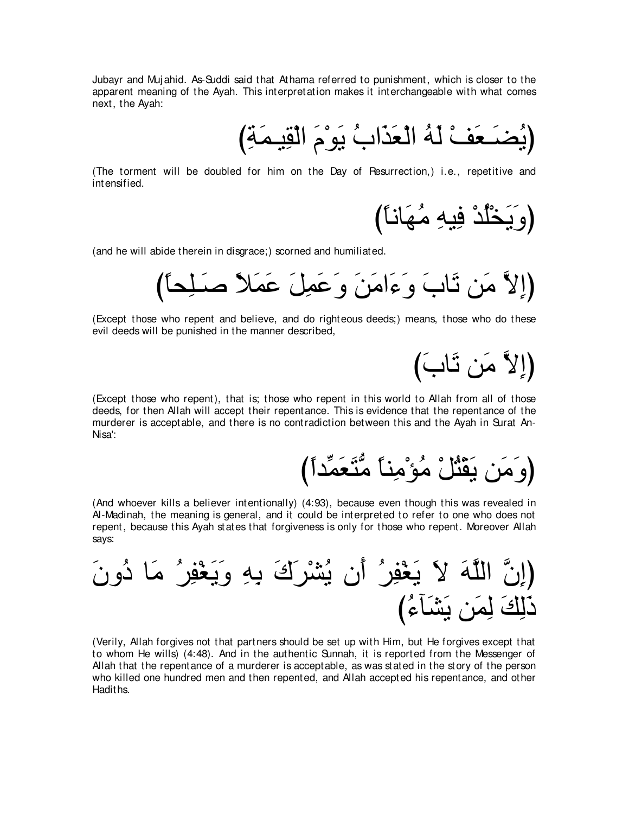Jubayr and Muj ahid. As-Suddi said that Athama referred to punishment, which is closer to the apparent meaning of the Ayah. This interpretation makes it interchangeable with what comes next, the Ayah:

﴿يُضَـعَفْ لَهُ الْعَذَابُ يَوْمَ الْقِيمَةِ)

(The torment will be doubled for him on the Day of Resurrection,) i.e., repetitive and intensified.

(وَيَخْلُدْ فِيهِ مُهَانـَا)

(and he will abide therein in disgrace;) scorned and humiliated.

び⇔ゅエ⌒ヤ⇒∠タ ⇔Κ∠ヨ∠ハ ∠モ⌒ヨ∠ハ∠ヱ ∠リ∠ョや∠¬∠ヱ ∠ゆゅ∠ゎ リ∠ョ zΙ⌒まぴ

(Except those who repent and believe, and do righteous deeds;) means, those who do these evil deeds will be punished in the manner described,

(إِلاَّ مَن ثَابَ)

(Except those who repent), that is; those who repent in this world to Allah from all of those deeds, for then Allah will accept their repentance. This is evidence that the repentance of the murderer is acceptable, and there is no contradiction between this and the Ayah in Surat An-Nisa':

(وَ مَن يَقَنُّلْ مُؤْمِناً مُّتَعَمِّداً)

(And whoever kills a believer intentionally) (4:93), because even though this was revealed in Al-Madinah, the meaning is general, and it could be interpreted to refer to one who does not repent, because this Ayah states that forgiveness is only for those who repent. Moreover Allah says:

∠ラヱ⊥キ ゅ∠ョ ⊥ゲ⌒ヘ∇ピ∠Α∠ヱ ⌒ヮ⌒よ ∠ポ∠ゲ∇ゼ⊥Α ラ∠ぺ ⊥ゲ⌒ヘ∇ピ∠Α ∠Ι ∠ヮzヤャや zラ⌒まぴ び⊥¬べ∠ゼ∠Α リ∠ヨ⌒ャ ∠マ⌒ャ∠ク

(Verily, Allah forgives not that partners should be set up with Him, but He forgives except that to whom He wills) (4:48). And in the authentic Sunnah, it is reported from the Messenger of Allah that the repentance of a murderer is acceptable, as was stated in the story of the person who killed one hundred men and then repented, and Allah accepted his repentance, and other Hadiths.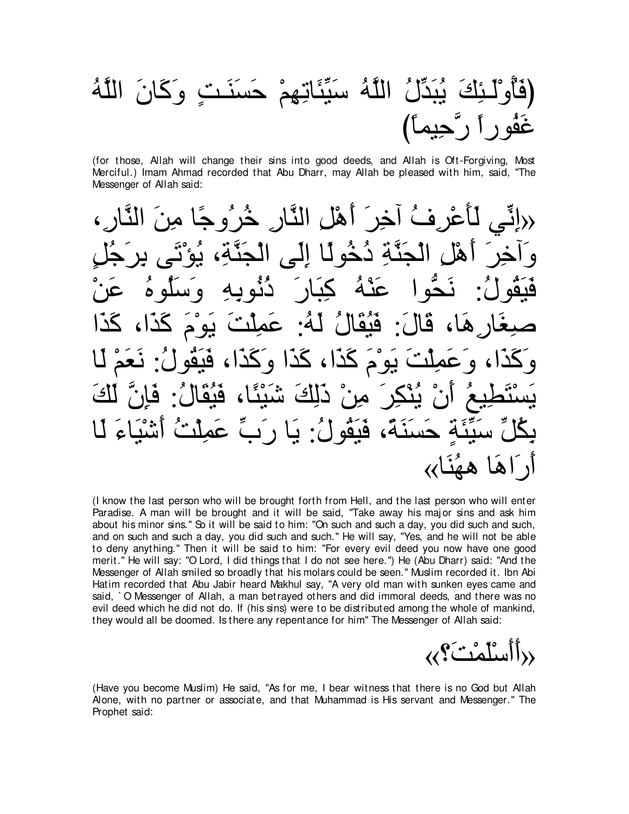# يُبَدِّلُ اللَّهُ سَيِّئَاتِهِمْ حَسنَنتِ وكَانَ اللَّهُ غَفُوراً رٌّحِيماً)

(for those, Allah will change their sins into good deeds, and Allah is Oft-Forgiving, Most Merciful.) Imam Ahmad recorded that Abu Dharr, may Allah be pleased with him, said, "The Messenger of Allah said:

لِّأَعْرِ فُ أَخِرَ ۖ أَهْلَ النَّارِ ۖ خُرْ وَ جًا مِنَ خُه لما الل*ي* قَيَقُولُ: نَحَّوا عَنْهُ كِبَارَ دُنُوبِهِ وَسَلُوهُ عَنْ صبِغَار هَا، قَالَ: فَيُقَالُ لَهُ: عَمِلْتَ يَوْمَ كَذَا، كَذَا کُذ)، کَذا و يَسْتَطِيعُ أَنْ يُنْكِرَ مِنْ دَلِكَ شَيْئًا، فَيُقَالُ: فَإِنَّ لَكَ ةِ حَسنَةَ، فَبَقَولُ: يَا رِ بِّ عَمِلَتُ أَشَيْد ار **آها ههُنَا››** 

(I know the last person who will be brought forth from Hell, and the last person who will enter Paradise. A man will be brought and it will be said, "Take away his major sins and ask him about his minor sins.'' So it will be said to him: "On such and such a day, you did such and such, and on such and such a day, you did such and such." He will say, "Yes, and he will not be able to deny anything.'' Then it will be said to him: "For every evil deed you now have one good merit.'' He will say: "O Lord, I did things that I do not see here.'') He (Abu Dharr) said: "And the Messenger of Allah smiled so broadly that his molars could be seen.'' Muslim recorded it. Ibn Abi Hatim recorded that Abu Jabir heard Makhul say, "A very old man with sunken eyes came and said, ` O Messenger of Allah, a man betrayed others and did immoral deeds, and there was no evil deed which he did not do. If (his sins) were to be distributed among the whole of mankind, they would all be doomed. Is there any repentance for him'' The Messenger of Allah said:

«∨∠ろ∇ヨ∠ヤ∇シ∠ぺ∠ぺ»

(Have you become Muslim) He said, "As for me, I bear witness that there is no God but Allah Alone, with no partner or associate, and that Muhammad is His servant and Messenger.'' The Prophet said: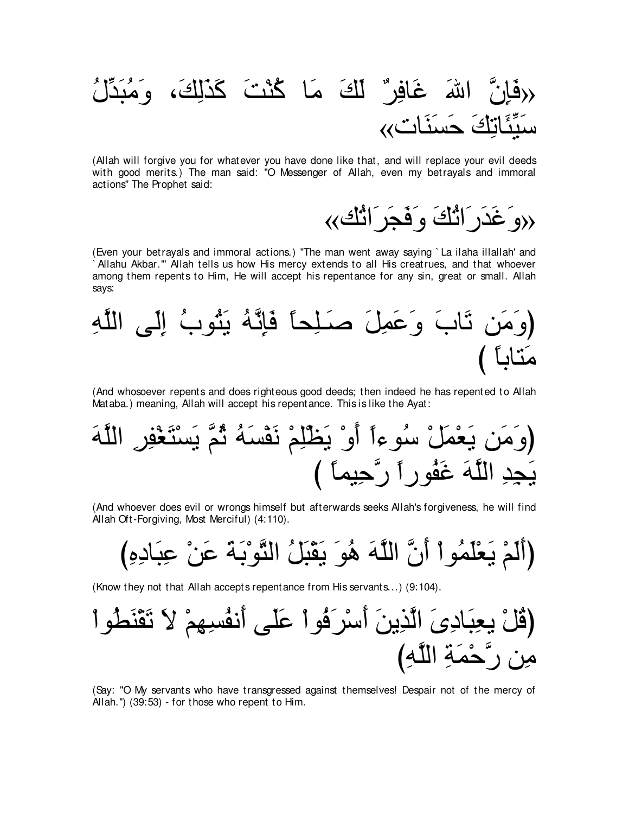# اللهَ غَافِرِ ٌ لَكَ مَا كُنْتَ كَذَلِكَ، وَمُبَدِّ تكَ حَسَنَات»،

(Allah will forgive you for whatever you have done like that, and will replace your evil deeds with good merits.) The man said: "O Messenger of Allah, even my betrayals and immoral actions'' The Prophet said:

«マ⊥ゎや∠ゲ∠イ∠プ∠ヱ ∠マ⊥ゎや∠ケ∠ギ∠ビ∠ヱ»

(Even your betrayals and immoral actions.) "The man went away saying ` La ilaha illallah' and Allahu Akbar."' Allah tells us how His mercy extends to all His creatrues, and that whoever among them repents to Him, He will accept his repentance for any sin, great or small. Allah says:

⌒ヮzヤャや ヴ∠ャ⌒ま ⊥ゆヲ⊥わ∠Α ⊥ヮzル⌒み∠プ ⇔ゅエ⌒ヤ⇒∠タ ∠モ⌒ヨ∠ハ∠ヱ ∠ゆゅ∠ゎ リ∠ョ∠ヱぴ び ⇔ゅよゅわ∠ョ

(And whosoever repents and does righteous good deeds; then indeed he has repented to Allah Mataba.) meaning, Allah will accept his repentance. This is like the Ayat:

∠ヮzヤャや ⌒ゲ⌒ヘ∇ピ∠わ∇ジ∠Α zユ⊥を ⊥ヮ∠ジ∇ヘ∠ル ∇ユ⌒ヤ∇ヌ∠Α ∇ヱ∠ぺ ⇔や¬ヲ⊥シ ∇モ∠ヨ∇バ∠Α リ∠ョ∠ヱぴ び ⇔ゅヨΒ⌒ェzケ ⇔やケヲ⊥ヘ∠ビ ∠ヮzヤャや ⌒ギ⌒イ∠Α

(And whoever does evil or wrongs himself but afterwards seeks Allah's forgiveness, he will find Allah Oft-Forgiving, Most Merciful) (4:110).

(أَلَمْ يَعْلَمُو اْ أَنَّ اللَّهَ هُوَ يَقْبَلُ الثَّوْبَةَ عَنْ عِبَادِهِ)

(Know they not that Allah accepts repentance from His servants...) (9:104).

∇やヲ⊥ト∠レ∇ボ∠ゎ ∠Ι ∇ユ⌒ヰ⌒ジ⊥ヘル∠ぺ ヴ∠ヤ∠ハ ∇やヲ⊥プ∠ゲ∇シ∠ぺ ∠リΑ⌒グzャや ∠ン⌒キゅ∠ら⌒バΑ ∇モ⊥ホぴ び⌒ヮzヤャや ⌒る∠ヨ∇ェzケ リ⌒ョ

(Say: "O My servants who have transgressed against themselves! Despair not of the mercy of Allah.'') (39:53) - for those who repent to Him.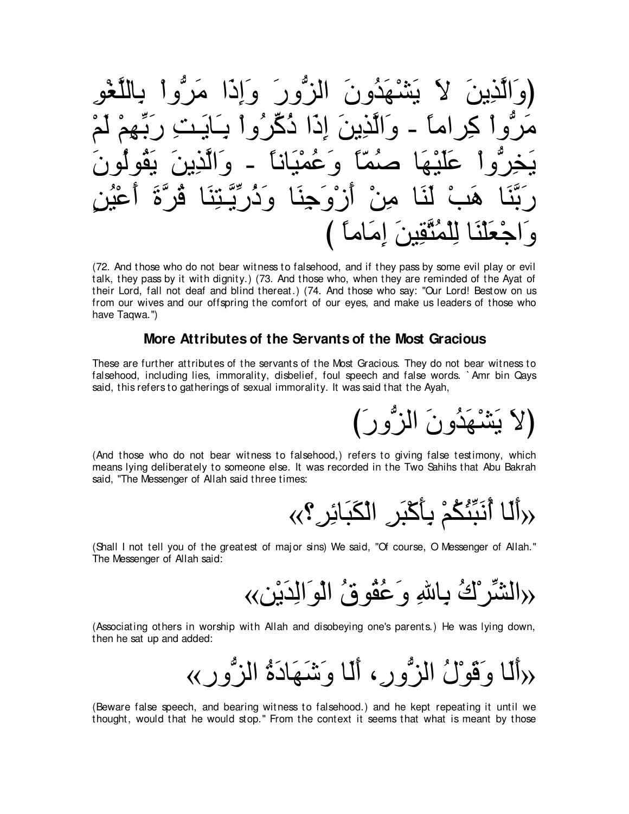(72. And those who do not bear witness to falsehood, and if they pass by some evil play or evil talk, they pass by it with dignity.) (73. And those who, when they are reminded of the Ayat of their Lord, fall not deaf and blind thereat.) (74. And those who say: "Our Lord! Bestow on us from our wives and our offspring the comfort of our eyes, and make us leaders of those who have Tagwa.")

### More Attributes of the Servants of the Most Gracious

These are further attributes of the servants of the Most Gracious. They do not bear witness to falsehood, including lies, immorality, disbelief, foul speech and false words. `Amr bin Qays said, this refers to gatherings of sexual immorality. It was said that the Ayah,

(And those who do not bear witness to falsehood.) refers to giving false testimony, which means lying deliberately to someone else. It was recorded in the Two Sahihs that Abu Bakrah said, "The Messenger of Allah said three times:

$$
\langle\langle\rangle^2
$$

(لاَ يَشْهَدُونَ الزُّورَ)

(Shall I not tell you of the greatest of major sins) We said, "Of course, O Messenger of Allah." The Messenger of Allah said:

<<</r</>الشِّرْ ۚ لَٰٓتُ بِاللَّهِ وَ عُقُو قُ ۚ الْوَ الْدَيْنِ ﴾

(Associating others in worship with Allah and disobeying one's parents.) He was lying down, then he sat up and added:

(Beware false speech, and bearing witness to falsehood.) and he kept repeating it until we thought, would that he would stop." From the context it seems that what is meant by those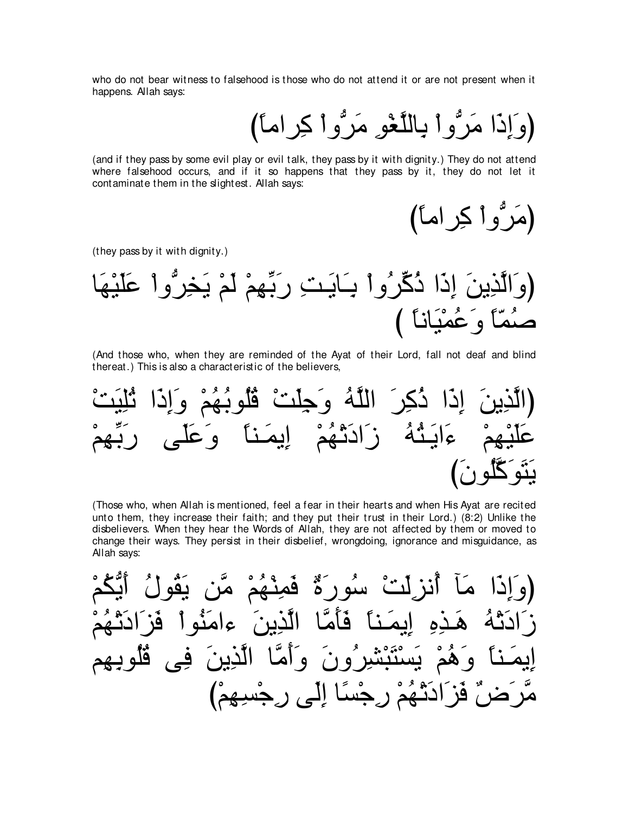who do not bear witness to falsehood is those who do not attend it or are not present when it happens. Allah says:

(وَإِذَا مَرُّوا بِاللَّغْوِ مَرُّوا كِراماً)

(and if they pass by some evil play or evil talk, they pass by it with dignity.) They do not attend where falsehood occurs, and if it so happens that they pass by it, they do not let it contaminate them in the slightest. Allah says:

(مَرُّوا كِراماً)

(they pass by it with dignity.)

(And those who, when they are reminded of the Ayat of their Lord, fall not deaf and blind thereat.) This is also a characteristic of the believers,

(Those who, when Allah is mentioned, feel a fear in their hearts and when His Ayat are recited unto them, they increase their faith; and they put their trust in their Lord.) (8:2) Unlike the disbelievers. When they hear the Words of Allah, they are not affected by them or moved to change their ways. They persist in their disbelief, wrongdoing, ignorance and misguidance, as Allah says: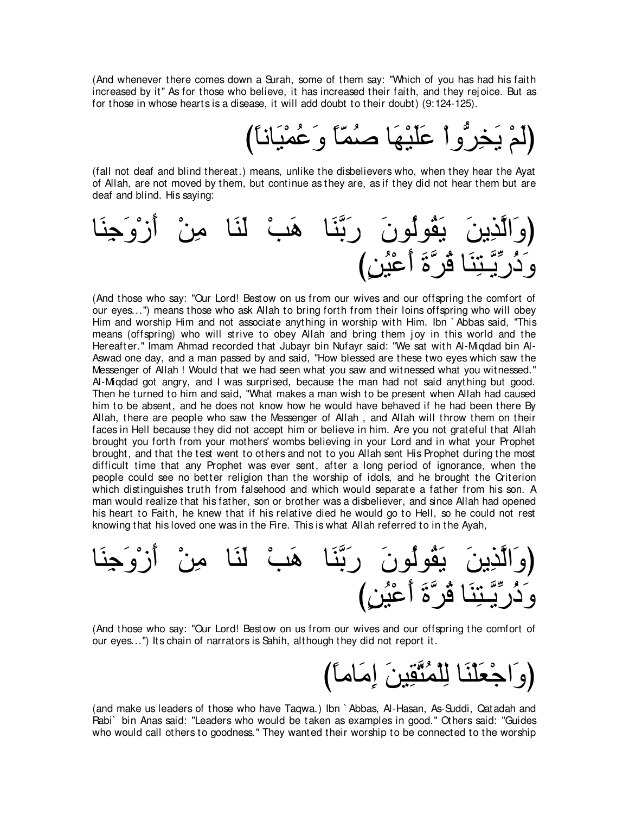(And whenever there comes down a Surah, some of them say: "Which of you has had his faith increased by it'' As for those who believe, it has increased their faith, and they rej oice. But as for those in whose hearts is a disease, it will add doubt to their doubt) (9:124-125).

(لَمْ يَخِرُّواْ عَلَيْهَا صُمَّاً وَعُمْيَاناً)

(fall not deaf and blind thereat.) means, unlike the disbelievers who, when they hear the Ayat of Allah, are not moved by them, but continue as they are, as if they did not hear them but are deaf and blind. His saying:



(And those who say: "Our Lord! Bestow on us from our wives and our offspring the comfort of our eyes...") means those who ask Allah to bring forth from their loins offspring who will obey Him and worship Him and not associate anything in worship with Him. Ibn ` Abbas said, "This means (offspring) who will strive to obey Allah and bring them joy in this world and the Hereafter.'' Imam Ahmad recorded that Jubayr bin Nufayr said: "We sat with Al-Miqdad bin Al-Aswad one day, and a man passed by and said, "How blessed are these two eyes which saw the Messenger of Allah ! Would that we had seen what you saw and witnessed what you witnessed.'' Al-Miqdad got angry, and I was surprised, because the man had not said anything but good. Then he turned to him and said, "What makes a man wish to be present when Allah had caused him to be absent, and he does not know how he would have behaved if he had been there By Allah, there are people who saw the Messenger of Allah , and Allah will throw them on their faces in Hell because they did not accept him or believe in him. Are you not grateful that Allah brought you forth from your mothers' wombs believing in your Lord and in what your Prophet brought, and that the test went to others and not to you Allah sent His Prophet during the most difficult time that any Prophet was ever sent, after a long period of ignorance, when the people could see no better religion than the worship of idols, and he brought the Criterion which distinguishes truth from falsehood and which would separate a father from his son. A man would realize that his father, son or brother was a disbeliever, and since Allah had opened his heart to Faith, he knew that if his relative died he would go to Hell, so he could not rest knowing that his loved one was in the Fire. This is what Allah referred to in the Ayah,

ゅ∠レ⌒ィ∠ヱ∇コ∠ぺ ∇リ⌒ョ ゅ∠レ∠ャ ∇ょ∠ワ ゅ∠レzよ∠ケ ∠ラヲ⊥ャヲ⊥ボ∠Α ∠リΑ⌒グzャや∠ヱぴ び∃リ⊥Β∇ハ∠ぺ ∠りzゲ⊥ホ ゅ∠レ⌒わ⇒zΑあケ⊥ク∠ヱ

(And those who say: "Our Lord! Bestow on us from our wives and our offspring the comfort of our eyes...'') Its chain of narrators is Sahih, although they did not report it.

び⇔ゅョゅ∠ョ⌒ま ∠リΒ⌒ボzわ⊥ヨ∇ヤ⌒ャ ゅ∠レ∇ヤ∠バ∇ィや∠ヱぴ

(and make us leaders of those who have Taqwa.) Ibn ` Abbas, Al-Hasan, As-Suddi, Qatadah and Rabi` bin Anas said: "Leaders who would be taken as examples in good.'' Others said: "Guides who would call others to goodness.'' They wanted their worship to be connected to the worship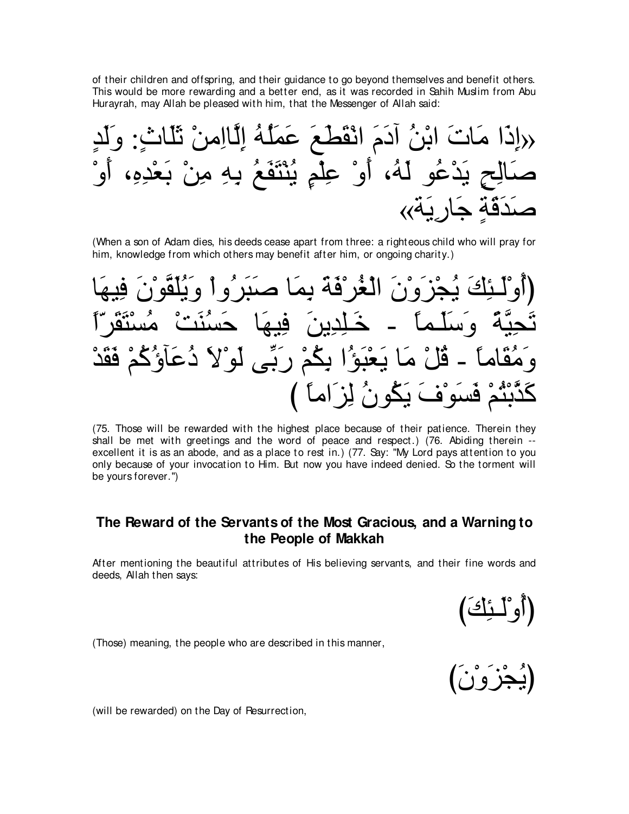of their children and offspring, and their guidance to go beyond themselves and benefit others. This would be more rewarding and a better end, as it was recorded in Sahih Muslim from Abu Hurayrah, may Allah be pleased with him, that the Messenger of Allah said:

∃ギ∠ャ∠ヱ :∃ゐゅ∠ヤ∠を ∇リョ⌒やゅzャ⌒ま ⊥ヮ⊥ヤ∠ヨ∠ハ ∠ノ∠ト∠ボ∇ルや ∠ュ∠キへ ⊥リ∇よや ∠れゅ∠ョ や∠ク⌒ま» ∇ヱ∠ぺ ∩⌒ロ⌒ギ∇バ∠よ ∇リ⌒ョ ⌒ヮ⌒よ ⊥ノ∠ヘ∠わ∇レ⊥Α ∃ユ∇ヤ⌒ハ ∇ヱ∠ぺ ∩⊥ヮ∠ャ ヲ⊥ハ∇ギ∠Α ∃ウ⌒ャゅ∠タ «る∠Α⌒ケゅ∠ィ ∃る∠ホ∠ギ∠タ

(When a son of Adam dies, his deeds cease apart from three: a righteous child who will pray for him, knowledge from which others may benefit after him, or ongoing charity.)

لغُرْ قَهَ يمَا ص ⇔や∂ゲ∠ボ∠わ∇ジ⊥ョ ∇ろ∠レ⊥ジ∠ェ ゅ∠ヰΒ⌒プ ∠リΑ⌒ギ⌒ヤ⇒∠カ - ⇔ゅヨ⇒∠ヤ∠シ∠ヱ ⇔るzΒ⌒エ∠ゎ قُلْ مَا يَعْبَوُ′ا بِكُمْ رَبِّي لَوْلا هَسَوْفَ يَكُونُ لِزَاماً )

(75. Those will be rewarded with the highest place because of their patience. Therein they shall be met with greetings and the word of peace and respect.) (76. Abiding therein - excellent it is as an abode, and as a place to rest in.) (77. Say: "My Lord pays attention to you only because of your invocation to Him. But now you have indeed denied. So the torment will be yours forever.'')

## **The Reward of the Servants of the Most Gracious, and a Warning to the People of Makkah**

After mentioning the beautiful attributes of His believing servants, and their fine words and deeds, Allah then says:



(Those) meaning, the people who are described in this manner,



(will be rewarded) on the Day of Resurrection,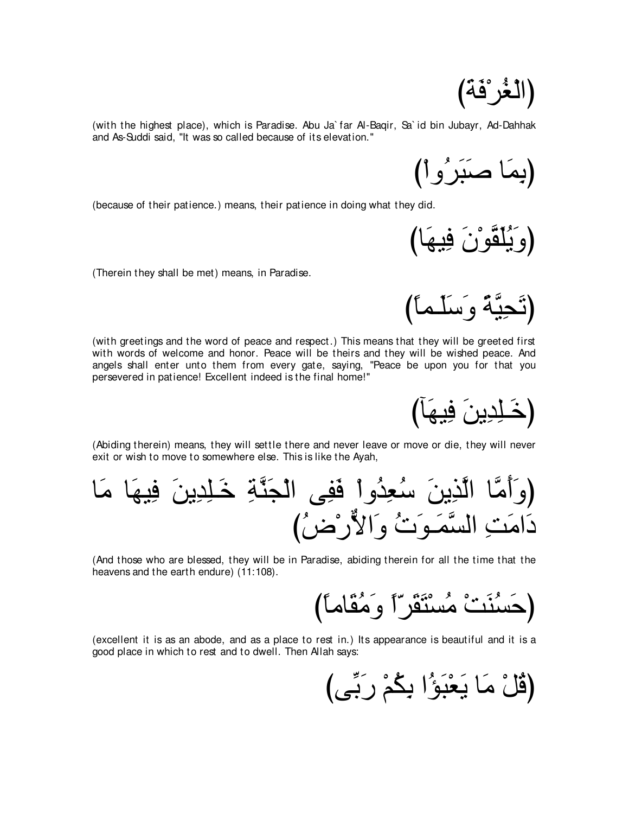(الْغُر<sup>ْ</sup>فَة)

(with the highest place), which is Paradise. Abu Ja` far Al-Baqir, Sa` id bin Jubayr, Ad-Dahhak and As-Suddi said, "It was so called because of its elevation.''

(بِمَا صَنَبِرُوا)

(because of their patience.) means, their patience in doing what they did.

びゅ∠ヰΒ⌒プ ∠ラ∇ヲzボ∠ヤ⊥Α∠ヱぴ

(تَحِيَّة و َسَلَّماً)

(Therein they shall be met) means, in Paradise.

(with greetings and the word of peace and respect.) This means that they will be greeted first with words of welcome and honor. Peace will be theirs and they will be wished peace. And angels shall enter unto them from every gate, saying, "Peace be upon you for that you persevered in patience! Excellent indeed is the final home!''

(خَـٰلِدِينَ فِيهَا)

(Abiding therein) means, they will settle there and never leave or move or die, they will never exit or wish to move to somewhere else. This is like the Ayah,

ゅ∠ョ ゅ∠ヰΒ⌒プ ∠リΑ⌒ギ⌒ヤ⇒∠カ ⌒るzレ∠イ∇ャや ヴ⌒ヘ∠プ ∇やヱ⊥ギ⌒バ⊥シ ∠リΑ⌒グzャや ゅzョ∠ぺ∠ヱぴ び⊥チ∇ケxΙや∠ヱ ⊥れ∠ヲ⇒∠ヨzジャや ⌒ろ∠ョや∠キ

(And those who are blessed, they will be in Paradise, abiding therein for all the time that the heavens and the earth endure) (11:108).

び⇔ゅョゅ∠ボ⊥ョ∠ヱ ⇔や∂ゲ∠ボ∠わ∇ジ⊥ョ ∇ろ∠レ⊥ジ∠ェぴ

(excellent it is as an abode, and as a place to rest in.) Its appearance is beautiful and it is a good place in which to rest and to dwell. Then Allah says:

びヴあよ∠ケ ∇ユ⊥ム⌒よ や⊥ぽ∠ら∇バ∠Α ゅ∠ョ ∇モ⊥ホぴ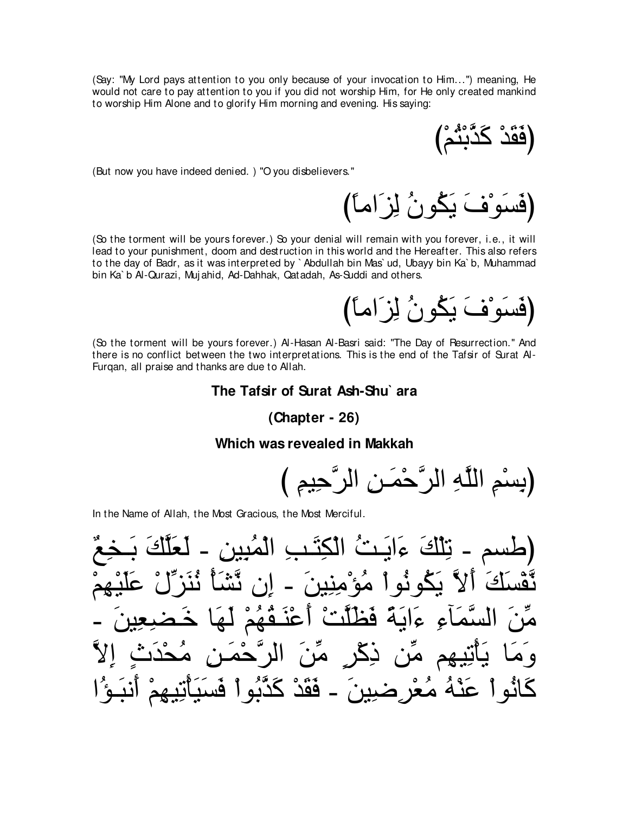(Say: "My Lord pays attention to you only because of your invocation to Him...") meaning, He would not care to pay attention to you if you did not worship Him, for He only created mankind to worship Him Alone and to glorify Him morning and evening. His saying:

(فَقَدْ كَدَّبِنُّمْ)

(But now you have indeed denied.) "O you disbelievers."

(فَسَوْفَ يَكُونُ لِزَاماً) (So the torment will be yours forever.) So your denial will remain with you forever, i.e., it will lead to your punishment, doom and destruction in this world and the Hereafter. This also refers

to the day of Badr, as it was interpreted by `Abdullah bin Mas`ud, Ubayy bin Ka`b, Muhammad bin Ka`b Al-Qurazi, Mujahid, Ad-Dahhak, Qatadah, As-Suddi and others.

(فَسَوْفَ يَكُونُ لِزَاماً)

(So the torment will be yours forever.) Al-Hasan Al-Basri said: "The Day of Resurrection." And there is no conflict between the two interpretations. This is the end of the Tafsir of Surat Al-Furqan, all praise and thanks are due to Allah.

### The Tafsir of Surat Ash-Shu`ara

 $(Chapter - 26)$ 

### Which was revealed in Makkah

In the Name of Allah, the Most Gracious, the Most Merciful.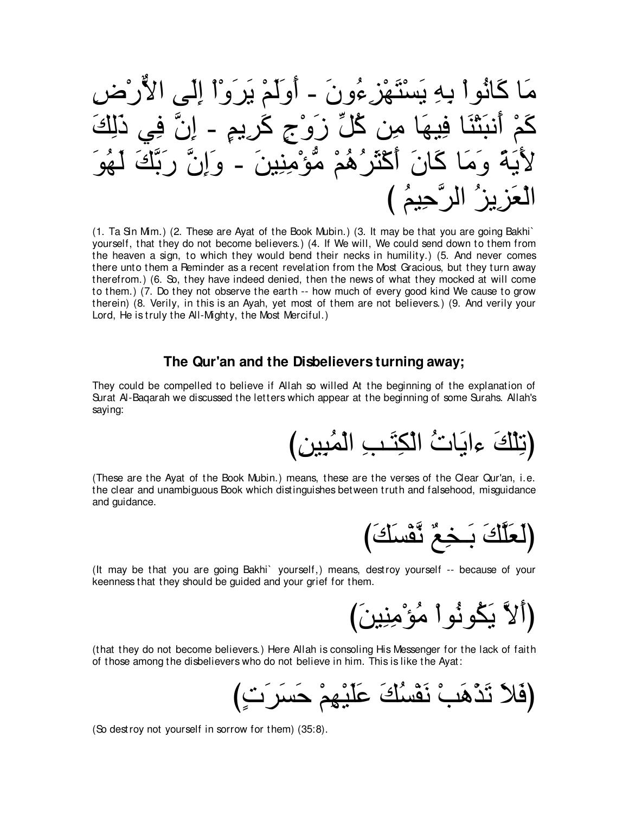⌒チ∇ケxΙや ヴ∠ャ⌒ま ∇や∇ヱ∠ゲ∠Α ∇ユ∠ャ∠ヱ∠ぺ - ∠ラヱ⊥¬⌒ゴ∇ヰ∠わ∇ジ∠Α ⌒ヮ⌒よ ∇やヲ⊥ルゅ∠ミ ゅ∠ョ ∠マ⌒ャ∠ク ヶ⌒プ zラ⌒ま - ∃ユΑ⌒ゲ∠ミ ∃ァ∇ヱ∠コ あモ⊥ミ リ⌒ョ ゅ∠ヰΒ⌒プ ゅ∠レ∇わ∠らル∠ぺ ∇ユ∠ミ ∠ヲ⊥ヰ∠ャ ∠マzよ∠ケ zラ⌒ま∠ヱ - ∠リΒ⌒レ⌒ョ∇ぽぁョ ∇ユ⊥ワ⊥ゲ∠ん∇ミ∠ぺ ∠ラゅ∠ミ ゅ∠ョ∠ヱ ⇔る∠Α∠Ε び ⊥ユΒ⌒ェzゲャや ⊥ゴΑ⌒ゴ∠バ∇ャや

(1. Ta Sin Mim.) (2. These are Ayat of the Book Mubin.) (3. It may be that you are going Bakhi` yourself, that they do not become believers.) (4. If We will, We could send down to them from the heaven a sign, to which they would bend their necks in humility.) (5. And never comes there unto them a Reminder as a recent revelation from the Most Gracious, but they turn away therefrom.) (6. So, they have indeed denied, then the news of what they mocked at will come to them.) (7. Do they not observe the earth -- how much of every good kind We cause to grow therein) (8. Verily, in this is an Ayah, yet most of them are not believers.) (9. And verily your Lord, He is truly the All-Mighty, the Most Merciful.)

### **The Qur'an and the Disbelievers turning away;**

They could be compelled to believe if Allah so willed At the beginning of the explanation of Surat Al-Baqarah we discussed the letters which appear at the beginning of some Surahs. Allah's saying:

び⌒リΒ⌒ら⊥ヨ∇ャや ⌒ょ⇒∠わ⌒ム∇ャや ⊥れゅ∠Αや¬ ∠マ∇ヤ⌒ゎぴ

(These are the Ayat of the Book Mubin.) means, these are the verses of the Clear Qur'an, i.e. the clear and unambiguous Book which distinguishes between truth and falsehood, misguidance and guidance.

び∠マ∠ジ∇ヘzル ∀ノ⌒ガ⇒∠よ ∠マzヤ∠バ∠ャぴ

(It may be that you are going Bakhi` yourself,) means, destroy yourself -- because of your keenness that they should be guided and your grief for them.

(ألاَّ يَكُونُواْ مُؤْمِنِينَ)

(that they do not become believers.) Here Allah is consoling His Messenger for the lack of faith of those among the disbelievers who do not believe in him. This is like the Ayat:

び∃れ∠ゲ∠ジ∠ェ ∇ユ⌒ヰ∇Β∠ヤ∠ハ ∠マ⊥ジ∇ヘ∠ル ∇ょ∠ワ∇グ∠ゎ ∠Κ∠プぴ

(So destroy not yourself in sorrow for them) (35:8).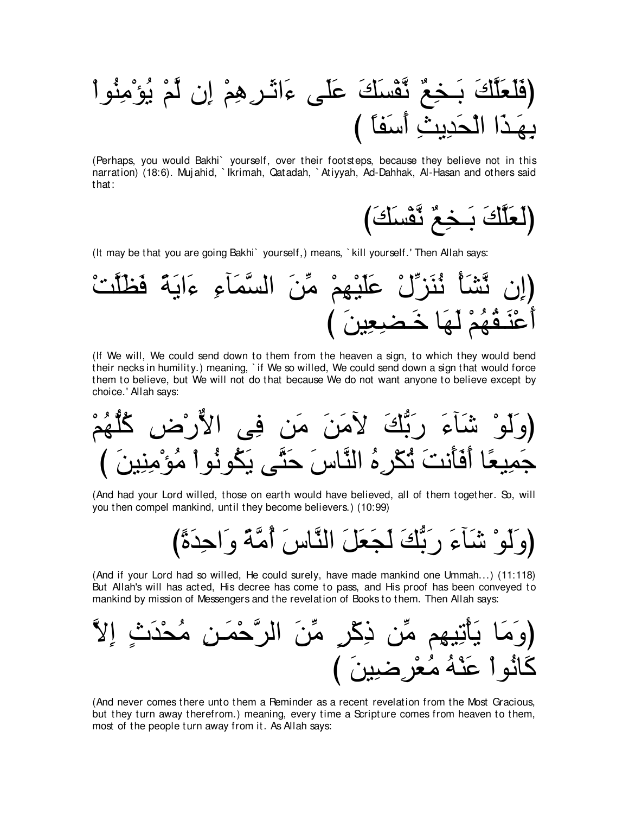(Perhaps, you would Bakhi` yourself, over their footsteps, because they believe not in this narration) (18:6). Mujahid, `Ikrimah, Qatadah, `Atiyyah, Ad-Dahhak, Al-Hasan and others said that:



(It may be that you are going Bakhi) yourself, means, `kill yourself.' Then Allah says:



(If We will, We could send down to them from the heaven a sign, to which they would bend their necks in humility.) meaning, `if We so willed, We could send down a sign that would force them to believe, but We will not do that because We do not want anyone to believe except by choice.' Allah says:

(And had your Lord willed, those on earth would have believed, all of them together. So, will you then compel mankind, until they become believers.) (10:99)

(وَلَوْ شَأَءَ رَبُّكَ لَجَعَلَ النَّاسَ أُمَّةً وَاحِدَةً)

(And if your Lord had so willed, He could surely, have made mankind one Ummah...) (11:118) But Allah's will has acted, His decree has come to pass, and His proof has been conveyed to mankind by mission of Messengers and the revelation of Books to them. Then Allah says:

(And never comes there unto them a Peminder as a recent revelation from the Most Gracious, but they turn away therefrom.) meaning, every time a Scripture comes from heaven to them, most of the people turn away from it. As Allah says: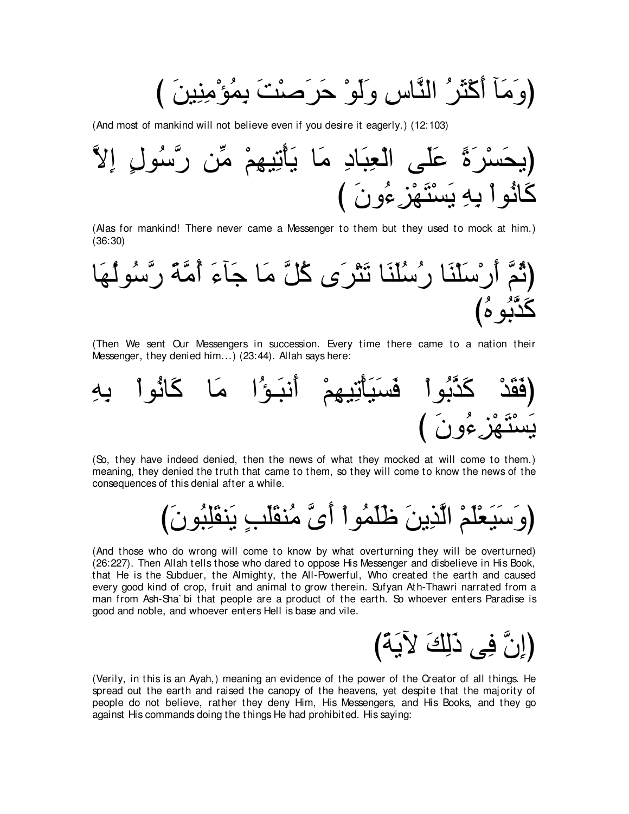(وَ مَأَ أَكْثَرُ النَّاسِ وَلَوْ حَرَصْتَ بِمُؤْمِنِينَ )

(And most of mankind will not believe even if you desire it eagerly.) (12:103)



(Alas for mankind! There never came a Messenger to them but they used to mock at him.) (36:30)



(Then We sent Our Messengers in succession. Every time there came to a nation their Messenger, they denied him...) (23:44). Allah says here:



(So, they have indeed denied, then the news of what they mocked at will come to them.) meaning, they denied the truth that came to them, so they will come to know the news of the consequences of this denial after a while.

び∠ラヲ⊥ら⌒ヤ∠ボレ∠Α ∃ょ∠ヤ∠ボレ⊥ョ zン∠ぺ ∇やヲ⊥ヨ∠ヤ∠ニ ∠リΑ⌒グzャや ∇ユ∠ヤ∇バ∠Β∠シ∠ヱぴ

(And those who do wrong will come to know by what overturning they will be overturned) (26:227). Then Allah tells those who dared to oppose His Messenger and disbelieve in His Book, that He is the Subduer, the Almighty, the All-Powerful, Who created the earth and caused every good kind of crop, fruit and animal to grow therein. Sufyan Ath-Thawri narrated from a man from Ash-Sha` bi that people are a product of the earth. So whoever enters Paradise is good and noble, and whoever enters Hell is base and vile.

び⇔る∠ΑΓ ∠マ⌒ャ∠ク ヴ⌒プ zラ⌒まぴ

(Verily, in this is an Ayah,) meaning an evidence of the power of the Creator of all things. He spread out the earth and raised the canopy of the heavens, yet despite that the majority of people do not believe, rather they deny Him, His Messengers, and His Books, and they go against His commands doing the things He had prohibited. His saying: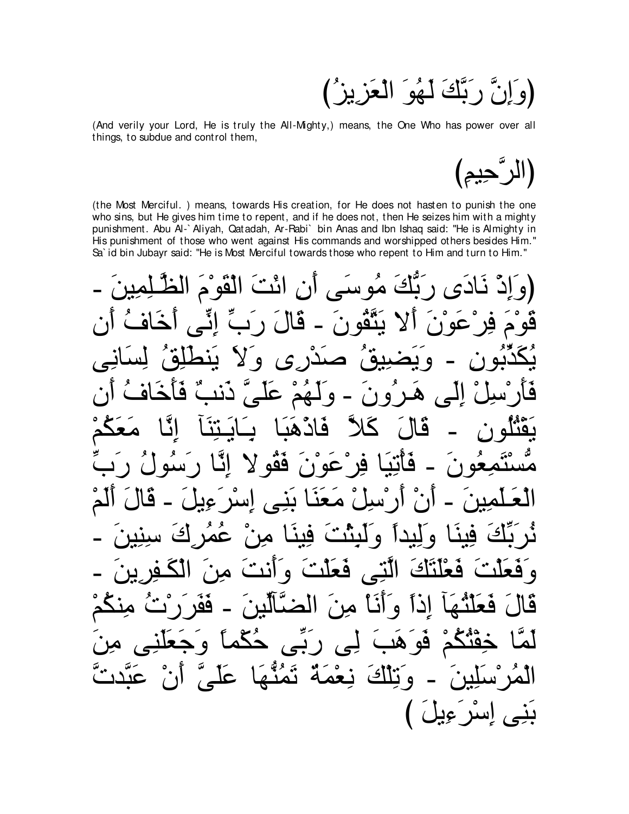نَّ رَبَّكَ لَهُوَ الْعَزِيزُ) [و اِ

(And verily your Lord, He is truly the All-Mighty,) means, the One Who has power over all things, to subdue and control them,

(الر گجيم)

(the Most Merciful.) means, towards His creation, for He does not hasten to punish the one who sins, but He gives him time to repent, and if he does not, then He seizes him with a mighty punishment. Abu Al-`Aliyah, Qatadah, Ar-Rabi` bin Anas and Ibn Ishaq said: "He is Almighty in His punishment of those who went against His commands and worshipped others besides Him." Sa' id bin Jubayr said: "He is Most Merciful towards those who repent to Him and turn to Him."

َبَّكَ مُو سَيِّ أَنِ ائْتَ الْقَوْمَ قَالَ رَ بِّ إِنِّي أخاف ينگو ن عه ۱  $(5)$  $\bullet$  $\ddot{\mathbf{a}}$  $\overline{\boldsymbol{z}}$ دند هرون الے ،  $\bullet$ فادّهما قا  $\left\langle \right\rangle$ فقو لا فات عه ۱ ً ٯ ، معنا بنے ار سا  $\bullet$ اسد ، فينا من عه  $\tilde{\mathbf{M}}$  $\bullet$ الَّتِّي فَعَلَّتْ وَأَنَّتْ فعاناك ہ قع  $\overline{M}$ اذاً وَأَنَا مِنَ الْمَسَّالَيْنَ قا <u>فف</u> فعلتما لِي رِبِّي هُڱُم  $\overline{\phantom{a}}$ قە ক্য نِعْمَةٌ تَمُنَّهَا عَلَىَ و نٽلڪَ بَنِي إِسْرَءِيلَ )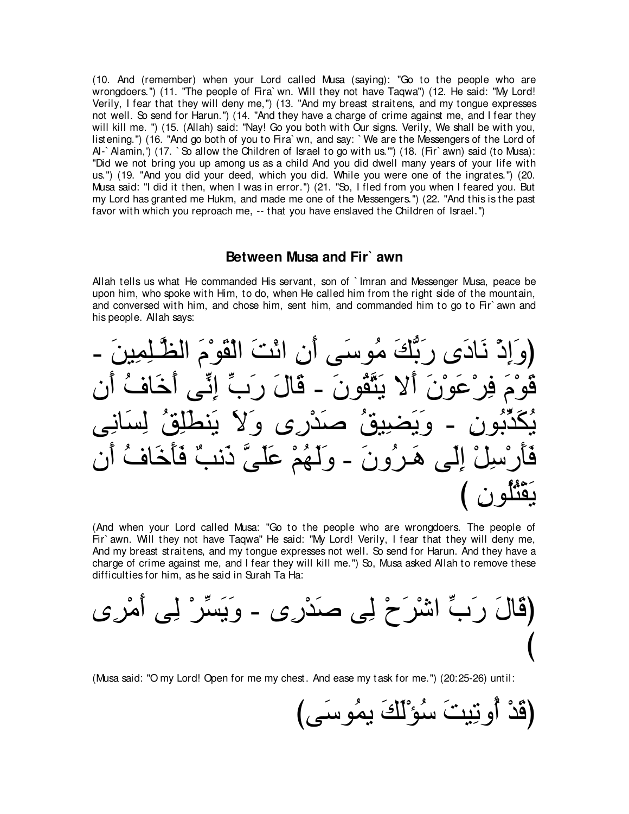(10. And (remember) when your Lord called Musa (saying): "Go to the people who are wrongdoers.'') (11. "The people of Fira` wn. Will they not have Taqwa'') (12. He said: "My Lord! Verily, I fear that they will deny me,") (13. "And my breast straitens, and my tongue expresses not well. So send for Harun.'') (14. "And they have a charge of crime against me, and I fear they will kill me. '') (15. (Allah) said: "Nay! Go you both with Our signs. Verily, We shall be with you, listening.'') (16. "And go both of you to Fira` wn, and say: ` We are the Messengers of the Lord of Al-`Alamin,') (17. `So allow the Children of Israel to go with us.'") (18. (Fir` awn) said (to Musa): "Did we not bring you up among us as a child And you did dwell many years of your life with us.'') (19. "And you did your deed, which you did. While you were one of the ingrates.'') (20. Musa said: "I did it then, when I was in error.'') (21. "So, I fled from you when I feared you. But my Lord has granted me Hukm, and made me one of the Messengers.'') (22. "And this is the past favor with which you reproach me, -- that you have enslaved the Children of Israel.'')

### **Between Musa and Fir` awn**

Allah tells us what He commanded His servant, son of ` Imran and Messenger Musa, peace be upon him, who spoke with Him, to do, when He called him from the right side of the mountain, and conversed with him, and chose him, sent him, and commanded him to go to Fir` awn and his people. Allah says:

- ∠リΒ⌒ヨ⌒ヤ⇒zヌャや ∠ュ∇ヲ∠ボ∇ャや ∠ろ∇もや ⌒ラ∠ぺ ヴ∠シヲ⊥ョ ∠マぁよ∠ケ ン∠キゅ∠ル ∇ク⌒ま∠ヱぴ ラ∠ぺ ⊥フゅ∠カ∠ぺ ヴあル⌒ま あゆ∠ケ ∠メゅ∠ホ - ∠ラヲ⊥ボzわ∠Α Ι∠ぺ ∠ラ∇ヲ∠ハ∇ゲ⌒プ ∠ュ∇ヲ∠ホ ヴ⌒ルゅ∠ジ⌒ャ ⊥ペ⌒ヤ∠トレ∠Α ∠Ι∠ヱ ン⌒ケ∇ギ∠タ ⊥ペΒ⌒ツ∠Α∠ヱ - ⌒ラヲ⊥よあグ∠ム⊥Α ラ∠ぺ ⊥フゅ∠カ∠ほ∠プ ∀ょル∠ク zヴ∠ヤ∠ハ ∇ユ⊥ヰ∠ャ∠ヱ - ∠ラヱ⊥ゲ⇒∠ワ ヴ∠ャ⌒ま ∇モ⌒シ∇ケ∠ほ∠プ び ⌒ラヲ⊥ヤ⊥わ∇ボ∠Α

(And when your Lord called Musa: "Go to the people who are wrongdoers. The people of Fir` awn. Will they not have Taqwa'' He said: "My Lord! Verily, I fear that they will deny me, And my breast straitens, and my tongue expresses not well. So send for Harun. And they have a charge of crime against me, and I fear they will kill me.'') So, Musa asked Allah to remove these difficulties for him, as he said in Surah Ta Ha:

ン⌒ゲ∇ョ∠ぺ ヴ⌒ャ ∇ゲあジ∠Α∠ヱ - ン⌒ケ∇ギ∠タ ヴ⌒ャ ∇ゥ∠ゲ∇セや あゆ∠ケ ∠メゅ∠ホぴ び

(Musa said: "O my Lord! Open for me my chest. And ease my task for me.'') (20:25-26) until:

(قَدْ أُونِيتَ سُوْلَكَ يمُوسَى)